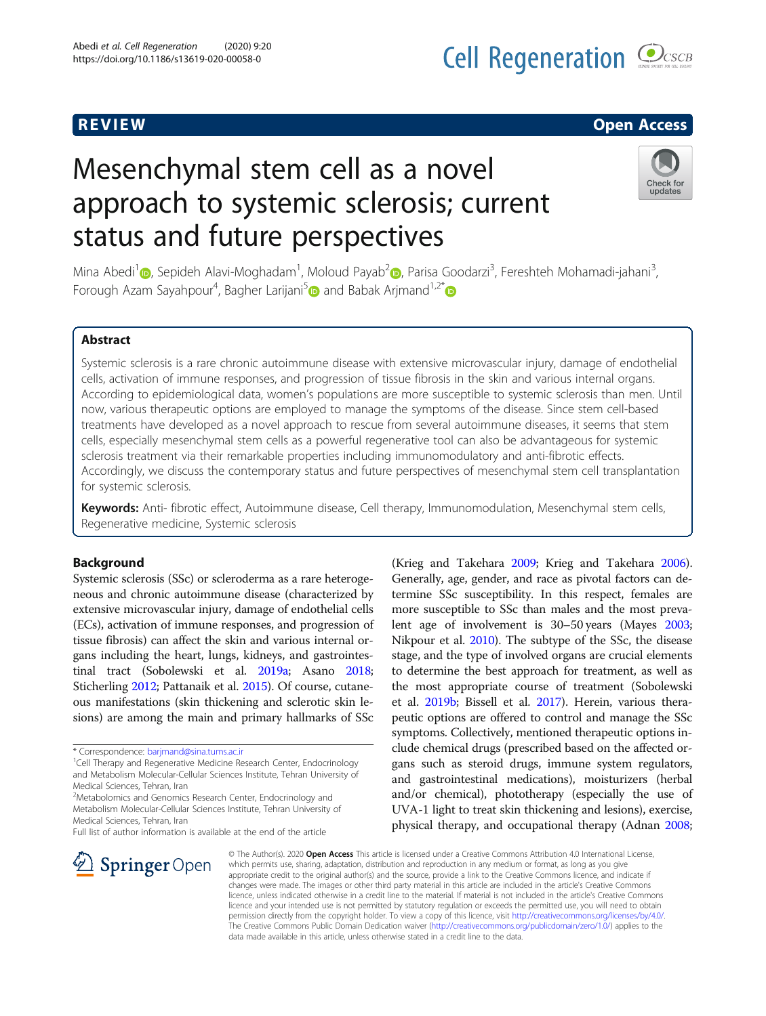# R EVI EW Open Access

# Mesenchymal stem cell as a novel approach to systemic sclerosis; current status and future perspectives



Mina Abedi<sup>1</sup> (@, Sepideh Alavi-Moghadam<sup>1</sup>, Moloud Payab<sup>[2](https://orcid.org/0000-0002-9311-8395)</sup> (@, Parisa Goodarzi<sup>3</sup>, Fereshteh Mohamadi-jahani<sup>3</sup> , Forough Azam Sayahpour<sup>4</sup>, Bagher Larijani<sup>5</sup> and Babak Arjmand<sup>1,2[\\*](https://orcid.org/0000-0001-5001-5006)</sup>

# Abstract

Systemic sclerosis is a rare chronic autoimmune disease with extensive microvascular injury, damage of endothelial cells, activation of immune responses, and progression of tissue fibrosis in the skin and various internal organs. According to epidemiological data, women's populations are more susceptible to systemic sclerosis than men. Until now, various therapeutic options are employed to manage the symptoms of the disease. Since stem cell-based treatments have developed as a novel approach to rescue from several autoimmune diseases, it seems that stem cells, especially mesenchymal stem cells as a powerful regenerative tool can also be advantageous for systemic sclerosis treatment via their remarkable properties including immunomodulatory and anti-fibrotic effects. Accordingly, we discuss the contemporary status and future perspectives of mesenchymal stem cell transplantation for systemic sclerosis.

Keywords: Anti- fibrotic effect, Autoimmune disease, Cell therapy, Immunomodulation, Mesenchymal stem cells, Regenerative medicine, Systemic sclerosis

#### Background

Systemic sclerosis (SSc) or scleroderma as a rare heterogeneous and chronic autoimmune disease (characterized by extensive microvascular injury, damage of endothelial cells (ECs), activation of immune responses, and progression of tissue fibrosis) can affect the skin and various internal organs including the heart, lungs, kidneys, and gastrointestinal tract (Sobolewski et al. [2019a](#page-17-0); Asano [2018](#page-15-0); Sticherling [2012;](#page-17-0) Pattanaik et al. [2015\)](#page-17-0). Of course, cutaneous manifestations (skin thickening and sclerotic skin lesions) are among the main and primary hallmarks of SSc

Full list of author information is available at the end of the article



(Krieg and Takehara [2009;](#page-16-0) Krieg and Takehara [2006](#page-16-0)). Generally, age, gender, and race as pivotal factors can determine SSc susceptibility. In this respect, females are more susceptible to SSc than males and the most prevalent age of involvement is 30–50 years (Mayes [2003](#page-17-0); Nikpour et al. [2010\)](#page-17-0). The subtype of the SSc, the disease stage, and the type of involved organs are crucial elements to determine the best approach for treatment, as well as the most appropriate course of treatment (Sobolewski et al. [2019b;](#page-17-0) Bissell et al. [2017\)](#page-15-0). Herein, various therapeutic options are offered to control and manage the SSc symptoms. Collectively, mentioned therapeutic options include chemical drugs (prescribed based on the affected organs such as steroid drugs, immune system regulators, and gastrointestinal medications), moisturizers (herbal and/or chemical), phototherapy (especially the use of UVA-1 light to treat skin thickening and lesions), exercise, physical therapy, and occupational therapy (Adnan [2008](#page-15-0);

© The Author(s). 2020 Open Access This article is licensed under a Creative Commons Attribution 4.0 International License, which permits use, sharing, adaptation, distribution and reproduction in any medium or format, as long as you give appropriate credit to the original author(s) and the source, provide a link to the Creative Commons licence, and indicate if changes were made. The images or other third party material in this article are included in the article's Creative Commons licence, unless indicated otherwise in a credit line to the material. If material is not included in the article's Creative Commons licence and your intended use is not permitted by statutory regulation or exceeds the permitted use, you will need to obtain permission directly from the copyright holder. To view a copy of this licence, visit <http://creativecommons.org/licenses/by/4.0/>. The Creative Commons Public Domain Dedication waiver ([http://creativecommons.org/publicdomain/zero/1.0/\)](http://creativecommons.org/publicdomain/zero/1.0/) applies to the data made available in this article, unless otherwise stated in a credit line to the data.

<sup>\*</sup> Correspondence: [barjmand@sina.tums.ac.ir](mailto:barjmand@sina.tums.ac.ir) <sup>1</sup>

<sup>&</sup>lt;sup>1</sup>Cell Therapy and Regenerative Medicine Research Center, Endocrinology and Metabolism Molecular-Cellular Sciences Institute, Tehran University of Medical Sciences, Tehran, Iran

<sup>&</sup>lt;sup>2</sup>Metabolomics and Genomics Research Center, Endocrinology and Metabolism Molecular-Cellular Sciences Institute, Tehran University of Medical Sciences, Tehran, Iran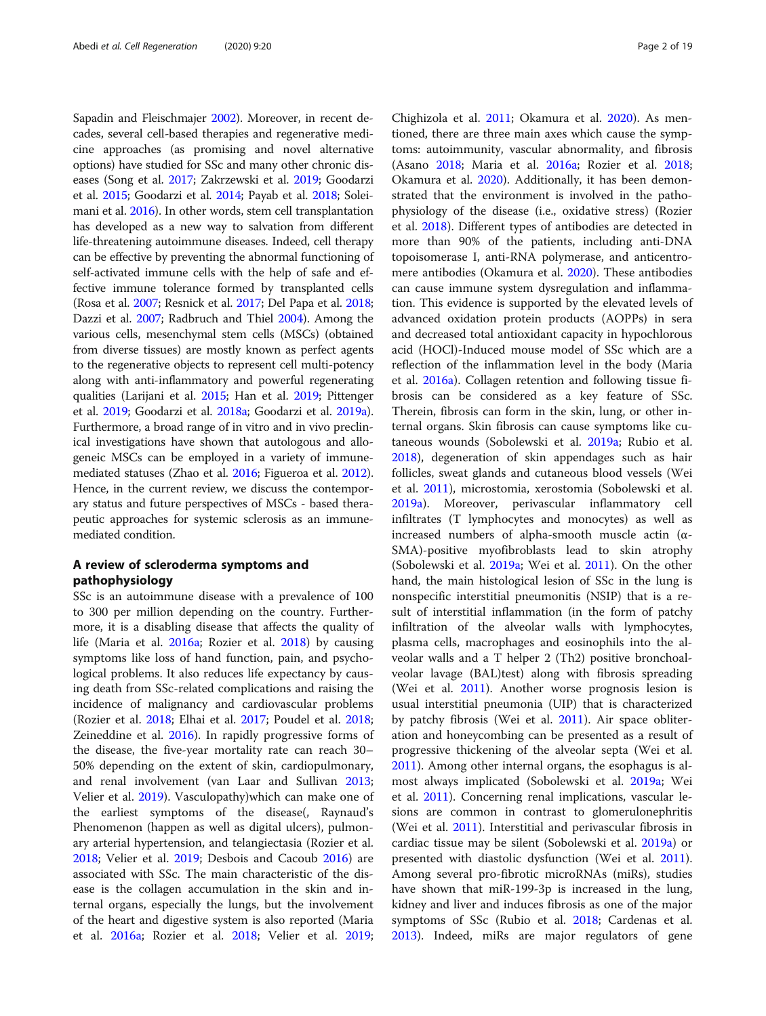Sapadin and Fleischmajer [2002\)](#page-17-0). Moreover, in recent decades, several cell-based therapies and regenerative medicine approaches (as promising and novel alternative options) have studied for SSc and many other chronic diseases (Song et al. [2017](#page-17-0); Zakrzewski et al. [2019;](#page-18-0) Goodarzi et al. [2015](#page-16-0); Goodarzi et al. [2014](#page-16-0); Payab et al. [2018](#page-17-0); Soleimani et al. [2016](#page-17-0)). In other words, stem cell transplantation has developed as a new way to salvation from different life-threatening autoimmune diseases. Indeed, cell therapy can be effective by preventing the abnormal functioning of self-activated immune cells with the help of safe and effective immune tolerance formed by transplanted cells (Rosa et al. [2007](#page-17-0); Resnick et al. [2017](#page-17-0); Del Papa et al. [2018](#page-15-0); Dazzi et al. [2007](#page-15-0); Radbruch and Thiel [2004\)](#page-17-0). Among the various cells, mesenchymal stem cells (MSCs) (obtained from diverse tissues) are mostly known as perfect agents to the regenerative objects to represent cell multi-potency along with anti-inflammatory and powerful regenerating qualities (Larijani et al. [2015;](#page-16-0) Han et al. [2019;](#page-16-0) Pittenger et al. [2019](#page-17-0); Goodarzi et al. [2018a](#page-16-0); Goodarzi et al. [2019a](#page-16-0)). Furthermore, a broad range of in vitro and in vivo preclinical investigations have shown that autologous and allogeneic MSCs can be employed in a variety of immunemediated statuses (Zhao et al. [2016](#page-18-0); Figueroa et al. [2012](#page-16-0)). Hence, in the current review, we discuss the contemporary status and future perspectives of MSCs - based therapeutic approaches for systemic sclerosis as an immunemediated condition.

# A review of scleroderma symptoms and pathophysiology

SSc is an autoimmune disease with a prevalence of 100 to 300 per million depending on the country. Furthermore, it is a disabling disease that affects the quality of life (Maria et al. [2016a](#page-16-0); Rozier et al. [2018](#page-17-0)) by causing symptoms like loss of hand function, pain, and psychological problems. It also reduces life expectancy by causing death from SSc-related complications and raising the incidence of malignancy and cardiovascular problems (Rozier et al. [2018](#page-17-0); Elhai et al. [2017;](#page-16-0) Poudel et al. [2018](#page-17-0); Zeineddine et al. [2016\)](#page-18-0). In rapidly progressive forms of the disease, the five-year mortality rate can reach 30– 50% depending on the extent of skin, cardiopulmonary, and renal involvement (van Laar and Sullivan [2013](#page-17-0); Velier et al. [2019](#page-17-0)). Vasculopathy)which can make one of the earliest symptoms of the disease(, Raynaud's Phenomenon (happen as well as digital ulcers), pulmonary arterial hypertension, and telangiectasia (Rozier et al. [2018](#page-17-0); Velier et al. [2019](#page-17-0); Desbois and Cacoub [2016\)](#page-15-0) are associated with SSc. The main characteristic of the disease is the collagen accumulation in the skin and internal organs, especially the lungs, but the involvement of the heart and digestive system is also reported (Maria et al. [2016a](#page-16-0); Rozier et al. [2018](#page-17-0); Velier et al. [2019](#page-17-0);

Chighizola et al. [2011;](#page-15-0) Okamura et al. [2020](#page-17-0)). As mentioned, there are three main axes which cause the symptoms: autoimmunity, vascular abnormality, and fibrosis (Asano [2018;](#page-15-0) Maria et al. [2016a;](#page-16-0) Rozier et al. [2018](#page-17-0); Okamura et al. [2020](#page-17-0)). Additionally, it has been demonstrated that the environment is involved in the pathophysiology of the disease (i.e., oxidative stress) (Rozier et al. [2018\)](#page-17-0). Different types of antibodies are detected in more than 90% of the patients, including anti-DNA topoisomerase I, anti-RNA polymerase, and anticentromere antibodies (Okamura et al. [2020\)](#page-17-0). These antibodies can cause immune system dysregulation and inflammation. This evidence is supported by the elevated levels of advanced oxidation protein products (AOPPs) in sera and decreased total antioxidant capacity in hypochlorous acid (HOCl)-Induced mouse model of SSc which are a reflection of the inflammation level in the body (Maria et al. [2016a\)](#page-16-0). Collagen retention and following tissue fibrosis can be considered as a key feature of SSc. Therein, fibrosis can form in the skin, lung, or other internal organs. Skin fibrosis can cause symptoms like cutaneous wounds (Sobolewski et al. [2019a](#page-17-0); Rubio et al. [2018](#page-17-0)), degeneration of skin appendages such as hair follicles, sweat glands and cutaneous blood vessels (Wei et al. [2011](#page-17-0)), microstomia, xerostomia (Sobolewski et al. [2019a\)](#page-17-0). Moreover, perivascular inflammatory cell infiltrates (T lymphocytes and monocytes) as well as increased numbers of alpha-smooth muscle actin (α-SMA)-positive myofibroblasts lead to skin atrophy (Sobolewski et al. [2019a;](#page-17-0) Wei et al. [2011\)](#page-17-0). On the other hand, the main histological lesion of SSc in the lung is nonspecific interstitial pneumonitis (NSIP) that is a result of interstitial inflammation (in the form of patchy infiltration of the alveolar walls with lymphocytes, plasma cells, macrophages and eosinophils into the alveolar walls and a T helper 2 (Th2) positive bronchoalveolar lavage (BAL)test) along with fibrosis spreading (Wei et al. [2011\)](#page-17-0). Another worse prognosis lesion is usual interstitial pneumonia (UIP) that is characterized by patchy fibrosis (Wei et al. [2011](#page-17-0)). Air space obliteration and honeycombing can be presented as a result of progressive thickening of the alveolar septa (Wei et al. [2011](#page-17-0)). Among other internal organs, the esophagus is almost always implicated (Sobolewski et al. [2019a](#page-17-0); Wei et al. [2011](#page-17-0)). Concerning renal implications, vascular lesions are common in contrast to glomerulonephritis (Wei et al. [2011\)](#page-17-0). Interstitial and perivascular fibrosis in cardiac tissue may be silent (Sobolewski et al. [2019a](#page-17-0)) or presented with diastolic dysfunction (Wei et al. [2011](#page-17-0)). Among several pro-fibrotic microRNAs (miRs), studies have shown that miR-199-3p is increased in the lung, kidney and liver and induces fibrosis as one of the major symptoms of SSc (Rubio et al. [2018](#page-17-0); Cardenas et al. [2013](#page-15-0)). Indeed, miRs are major regulators of gene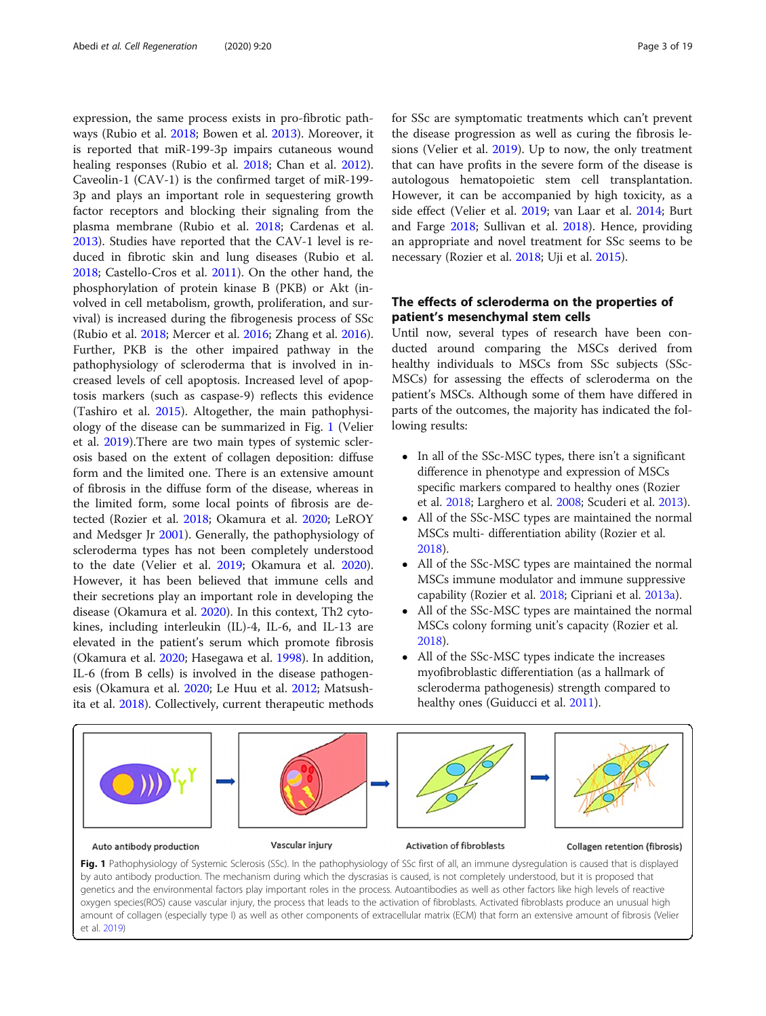expression, the same process exists in pro-fibrotic pathways (Rubio et al. [2018](#page-17-0); Bowen et al. [2013](#page-15-0)). Moreover, it is reported that miR-199-3p impairs cutaneous wound healing responses (Rubio et al. [2018](#page-17-0); Chan et al. [2012](#page-15-0)). Caveolin-1 (CAV-1) is the confirmed target of miR-199- 3p and plays an important role in sequestering growth factor receptors and blocking their signaling from the plasma membrane (Rubio et al. [2018](#page-17-0); Cardenas et al. [2013](#page-15-0)). Studies have reported that the CAV-1 level is reduced in fibrotic skin and lung diseases (Rubio et al. [2018](#page-17-0); Castello-Cros et al. [2011](#page-15-0)). On the other hand, the phosphorylation of protein kinase B (PKB) or Akt (involved in cell metabolism, growth, proliferation, and survival) is increased during the fibrogenesis process of SSc (Rubio et al. [2018](#page-17-0); Mercer et al. [2016](#page-17-0); Zhang et al. [2016](#page-18-0)). Further, PKB is the other impaired pathway in the pathophysiology of scleroderma that is involved in increased levels of cell apoptosis. Increased level of apoptosis markers (such as caspase-9) reflects this evidence (Tashiro et al. [2015\)](#page-17-0). Altogether, the main pathophysiology of the disease can be summarized in Fig. 1 (Velier et al. [2019\)](#page-17-0).There are two main types of systemic sclerosis based on the extent of collagen deposition: diffuse form and the limited one. There is an extensive amount of fibrosis in the diffuse form of the disease, whereas in the limited form, some local points of fibrosis are detected (Rozier et al. [2018](#page-17-0); Okamura et al. [2020;](#page-17-0) LeROY and Medsger Jr [2001](#page-16-0)). Generally, the pathophysiology of scleroderma types has not been completely understood to the date (Velier et al. [2019;](#page-17-0) Okamura et al. [2020](#page-17-0)). However, it has been believed that immune cells and their secretions play an important role in developing the disease (Okamura et al. [2020\)](#page-17-0). In this context, Th2 cytokines, including interleukin (IL)-4, IL-6, and IL-13 are elevated in the patient's serum which promote fibrosis (Okamura et al. [2020;](#page-17-0) Hasegawa et al. [1998\)](#page-16-0). In addition, IL-6 (from B cells) is involved in the disease pathogenesis (Okamura et al. [2020;](#page-17-0) Le Huu et al. [2012;](#page-16-0) Matsushita et al. [2018](#page-17-0)). Collectively, current therapeutic methods for SSc are symptomatic treatments which can't prevent the disease progression as well as curing the fibrosis lesions (Velier et al. [2019\)](#page-17-0). Up to now, the only treatment that can have profits in the severe form of the disease is autologous hematopoietic stem cell transplantation. However, it can be accompanied by high toxicity, as a side effect (Velier et al. [2019](#page-17-0); van Laar et al. [2014;](#page-17-0) Burt and Farge [2018](#page-15-0); Sullivan et al. [2018\)](#page-17-0). Hence, providing an appropriate and novel treatment for SSc seems to be necessary (Rozier et al. [2018;](#page-17-0) Uji et al. [2015](#page-17-0)).

# The effects of scleroderma on the properties of patient's mesenchymal stem cells

Until now, several types of research have been conducted around comparing the MSCs derived from healthy individuals to MSCs from SSc subjects (SSc-MSCs) for assessing the effects of scleroderma on the patient's MSCs. Although some of them have differed in parts of the outcomes, the majority has indicated the following results:

- In all of the SSc-MSC types, there isn't a significant difference in phenotype and expression of MSCs specific markers compared to healthy ones (Rozier et al. [2018](#page-17-0); Larghero et al. [2008;](#page-16-0) Scuderi et al. [2013\)](#page-17-0).
- All of the SSc-MSC types are maintained the normal MSCs multi- differentiation ability (Rozier et al. [2018\)](#page-17-0).
- All of the SSc-MSC types are maintained the normal MSCs immune modulator and immune suppressive capability (Rozier et al. [2018;](#page-17-0) Cipriani et al. [2013a](#page-15-0)).
- All of the SSc-MSC types are maintained the normal MSCs colony forming unit's capacity (Rozier et al. [2018\)](#page-17-0).
- All of the SSc-MSC types indicate the increases myofibroblastic differentiation (as a hallmark of scleroderma pathogenesis) strength compared to healthy ones (Guiducci et al. [2011](#page-16-0)).



Fig. 1 Pathophysiology of Systemic Sclerosis (SSc). In the pathophysiology of SSc first of all, an immune dysregulation is caused that is displayed by auto antibody production. The mechanism during which the dyscrasias is caused, is not completely understood, but it is proposed that genetics and the environmental factors play important roles in the process. Autoantibodies as well as other factors like high levels of reactive oxygen species(ROS) cause vascular injury, the process that leads to the activation of fibroblasts. Activated fibroblasts produce an unusual high amount of collagen (especially type I) as well as other components of extracellular matrix (ECM) that form an extensive amount of fibrosis (Velier et al. [2019\)](#page-17-0)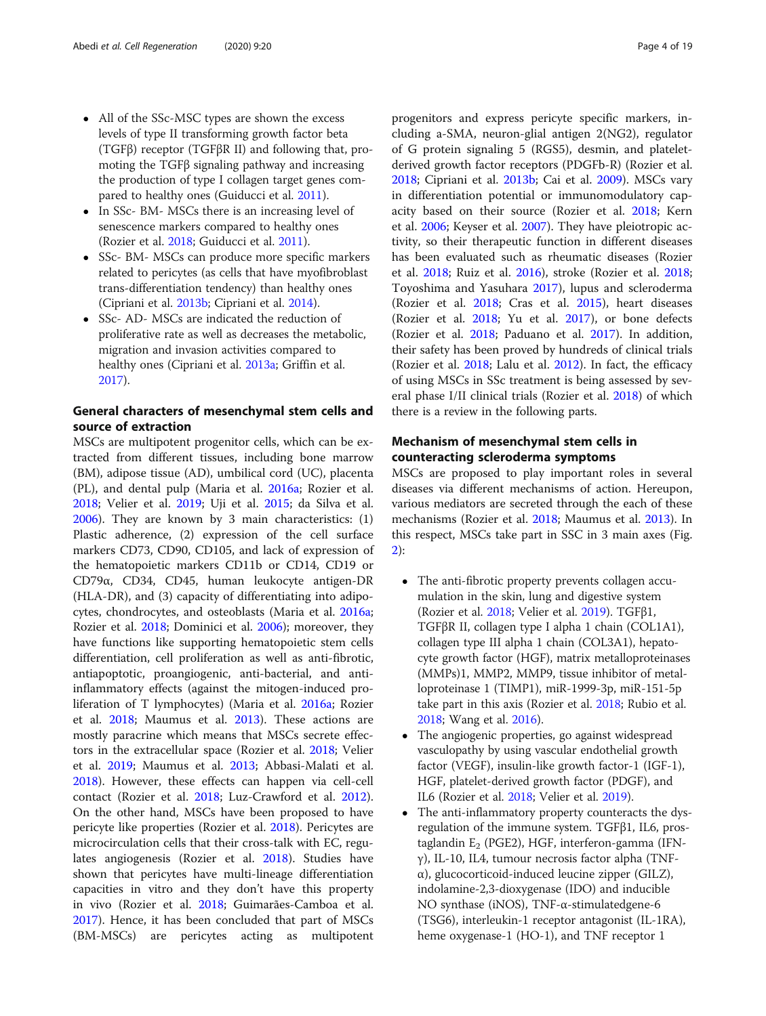- All of the SSc-MSC types are shown the excess levels of type II transforming growth factor beta (TGFβ) receptor (TGFβR II) and following that, promoting the TGFβ signaling pathway and increasing the production of type I collagen target genes compared to healthy ones (Guiducci et al. [2011\)](#page-16-0).
- In SSc- BM- MSCs there is an increasing level of senescence markers compared to healthy ones (Rozier et al. [2018;](#page-17-0) Guiducci et al. [2011\)](#page-16-0).
- SSc- BM- MSCs can produce more specific markers related to pericytes (as cells that have myofibroblast trans-differentiation tendency) than healthy ones (Cipriani et al. [2013b;](#page-15-0) Cipriani et al. [2014\)](#page-15-0).
- SSc- AD- MSCs are indicated the reduction of proliferative rate as well as decreases the metabolic, migration and invasion activities compared to healthy ones (Cipriani et al. [2013a](#page-15-0); Griffin et al. [2017\)](#page-16-0).

# General characters of mesenchymal stem cells and source of extraction

MSCs are multipotent progenitor cells, which can be extracted from different tissues, including bone marrow (BM), adipose tissue (AD), umbilical cord (UC), placenta (PL), and dental pulp (Maria et al. [2016a;](#page-16-0) Rozier et al. [2018](#page-17-0); Velier et al. [2019;](#page-17-0) Uji et al. [2015](#page-17-0); da Silva et al. [2006](#page-15-0)). They are known by 3 main characteristics: (1) Plastic adherence, (2) expression of the cell surface markers CD73, CD90, CD105, and lack of expression of the hematopoietic markers CD11b or CD14, CD19 or CD79α, CD34, CD45, human leukocyte antigen-DR (HLA-DR), and (3) capacity of differentiating into adipocytes, chondrocytes, and osteoblasts (Maria et al. [2016a](#page-16-0); Rozier et al. [2018](#page-17-0); Dominici et al. [2006\)](#page-15-0); moreover, they have functions like supporting hematopoietic stem cells differentiation, cell proliferation as well as anti-fibrotic, antiapoptotic, proangiogenic, anti-bacterial, and antiinflammatory effects (against the mitogen-induced proliferation of T lymphocytes) (Maria et al. [2016a](#page-16-0); Rozier et al. [2018;](#page-17-0) Maumus et al. [2013](#page-17-0)). These actions are mostly paracrine which means that MSCs secrete effectors in the extracellular space (Rozier et al. [2018](#page-17-0); Velier et al. [2019](#page-17-0); Maumus et al. [2013;](#page-17-0) Abbasi-Malati et al. [2018](#page-15-0)). However, these effects can happen via cell-cell contact (Rozier et al. [2018;](#page-17-0) Luz-Crawford et al. [2012](#page-16-0)). On the other hand, MSCs have been proposed to have pericyte like properties (Rozier et al. [2018\)](#page-17-0). Pericytes are microcirculation cells that their cross-talk with EC, regulates angiogenesis (Rozier et al. [2018](#page-17-0)). Studies have shown that pericytes have multi-lineage differentiation capacities in vitro and they don't have this property in vivo (Rozier et al. [2018](#page-17-0); Guimarães-Camboa et al. [2017](#page-16-0)). Hence, it has been concluded that part of MSCs (BM-MSCs) are pericytes acting as multipotent progenitors and express pericyte specific markers, including a-SMA, neuron-glial antigen 2(NG2), regulator of G protein signaling 5 (RGS5), desmin, and plateletderived growth factor receptors (PDGFb-R) (Rozier et al. [2018](#page-17-0); Cipriani et al. [2013b](#page-15-0); Cai et al. [2009\)](#page-15-0). MSCs vary in differentiation potential or immunomodulatory capacity based on their source (Rozier et al. [2018](#page-17-0); Kern et al. [2006](#page-16-0); Keyser et al. [2007](#page-16-0)). They have pleiotropic activity, so their therapeutic function in different diseases has been evaluated such as rheumatic diseases (Rozier et al. [2018;](#page-17-0) Ruiz et al. [2016](#page-17-0)), stroke (Rozier et al. [2018](#page-17-0); Toyoshima and Yasuhara [2017](#page-17-0)), lupus and scleroderma (Rozier et al. [2018;](#page-17-0) Cras et al. [2015](#page-15-0)), heart diseases (Rozier et al. [2018](#page-17-0); Yu et al. [2017](#page-18-0)), or bone defects (Rozier et al. [2018](#page-17-0); Paduano et al. [2017\)](#page-17-0). In addition, their safety has been proved by hundreds of clinical trials (Rozier et al. [2018;](#page-17-0) Lalu et al. [2012\)](#page-16-0). In fact, the efficacy of using MSCs in SSc treatment is being assessed by several phase I/II clinical trials (Rozier et al. [2018\)](#page-17-0) of which there is a review in the following parts.

# Mechanism of mesenchymal stem cells in counteracting scleroderma symptoms

MSCs are proposed to play important roles in several diseases via different mechanisms of action. Hereupon, various mediators are secreted through the each of these mechanisms (Rozier et al. [2018;](#page-17-0) Maumus et al. [2013](#page-17-0)). In this respect, MSCs take part in SSC in 3 main axes (Fig. [2\)](#page-4-0):

- The anti-fibrotic property prevents collagen accumulation in the skin, lung and digestive system (Rozier et al. [2018;](#page-17-0) Velier et al. [2019](#page-17-0)). TGFβ1, TGFβR II, collagen type I alpha 1 chain (COL1A1), collagen type III alpha 1 chain (COL3A1), hepatocyte growth factor (HGF), matrix metalloproteinases (MMPs)1, MMP2, MMP9, tissue inhibitor of metalloproteinase 1 (TIMP1), miR-1999-3p, miR-151-5p take part in this axis (Rozier et al. [2018;](#page-17-0) Rubio et al. [2018;](#page-17-0) Wang et al. [2016\)](#page-17-0).
- The angiogenic properties, go against widespread vasculopathy by using vascular endothelial growth factor (VEGF), insulin-like growth factor-1 (IGF-1), HGF, platelet-derived growth factor (PDGF), and IL6 (Rozier et al. [2018](#page-17-0); Velier et al. [2019\)](#page-17-0).
- The anti-inflammatory property counteracts the dysregulation of the immune system. TGFβ1, IL6, prostaglandin  $E_2$  (PGE2), HGF, interferon-gamma (IFNγ), IL-10, IL4, tumour necrosis factor alpha (TNFα), glucocorticoid-induced leucine zipper (GILZ), indolamine-2,3-dioxygenase (IDO) and inducible NO synthase (iNOS), TNF-α-stimulatedgene-6 (TSG6), interleukin-1 receptor antagonist (IL-1RA), heme oxygenase-1 (HO-1), and TNF receptor 1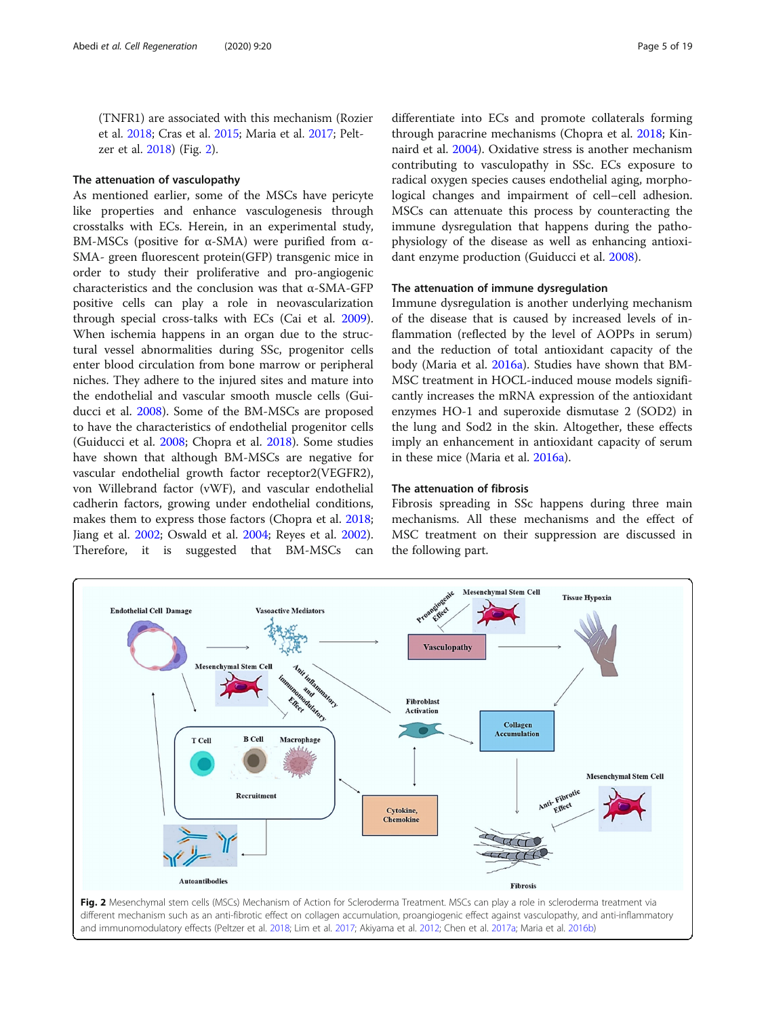<span id="page-4-0"></span>(TNFR1) are associated with this mechanism (Rozier et al. [2018](#page-17-0); Cras et al. [2015;](#page-15-0) Maria et al. [2017](#page-16-0); Peltzer et al. [2018](#page-17-0)) (Fig. 2).

#### The attenuation of vasculopathy

As mentioned earlier, some of the MSCs have pericyte like properties and enhance vasculogenesis through crosstalks with ECs. Herein, in an experimental study, BM-MSCs (positive for α-SMA) were purified from α-SMA- green fluorescent protein(GFP) transgenic mice in order to study their proliferative and pro-angiogenic characteristics and the conclusion was that α-SMA-GFP positive cells can play a role in neovascularization through special cross-talks with ECs (Cai et al. [2009](#page-15-0)). When ischemia happens in an organ due to the structural vessel abnormalities during SSc, progenitor cells enter blood circulation from bone marrow or peripheral niches. They adhere to the injured sites and mature into the endothelial and vascular smooth muscle cells (Guiducci et al. [2008](#page-16-0)). Some of the BM-MSCs are proposed to have the characteristics of endothelial progenitor cells (Guiducci et al. [2008;](#page-16-0) Chopra et al. [2018](#page-15-0)). Some studies have shown that although BM-MSCs are negative for vascular endothelial growth factor receptor2(VEGFR2), von Willebrand factor (vWF), and vascular endothelial cadherin factors, growing under endothelial conditions, makes them to express those factors (Chopra et al. [2018](#page-15-0); Jiang et al. [2002](#page-16-0); Oswald et al. [2004;](#page-17-0) Reyes et al. [2002](#page-17-0)). Therefore, it is suggested that BM-MSCs can differentiate into ECs and promote collaterals forming through paracrine mechanisms (Chopra et al. [2018](#page-15-0); Kinnaird et al. [2004\)](#page-16-0). Oxidative stress is another mechanism contributing to vasculopathy in SSc. ECs exposure to radical oxygen species causes endothelial aging, morphological changes and impairment of cell–cell adhesion. MSCs can attenuate this process by counteracting the immune dysregulation that happens during the pathophysiology of the disease as well as enhancing antioxidant enzyme production (Guiducci et al. [2008](#page-16-0)).

# The attenuation of immune dysregulation

Immune dysregulation is another underlying mechanism of the disease that is caused by increased levels of inflammation (reflected by the level of AOPPs in serum) and the reduction of total antioxidant capacity of the body (Maria et al. [2016a\)](#page-16-0). Studies have shown that BM-MSC treatment in HOCL-induced mouse models significantly increases the mRNA expression of the antioxidant enzymes HO-1 and superoxide dismutase 2 (SOD2) in the lung and Sod2 in the skin. Altogether, these effects imply an enhancement in antioxidant capacity of serum in these mice (Maria et al. [2016a\)](#page-16-0).

#### The attenuation of fibrosis

Fibrosis spreading in SSc happens during three main mechanisms. All these mechanisms and the effect of MSC treatment on their suppression are discussed in the following part.



different mechanism such as an anti-fibrotic effect on collagen accumulation, proangiogenic effect against vasculopathy, and anti-inflammatory and immunomodulatory effects (Peltzer et al. [2018](#page-17-0); Lim et al. [2017;](#page-16-0) Akiyama et al. [2012;](#page-15-0) Chen et al. [2017a](#page-15-0); Maria et al. [2016b\)](#page-16-0)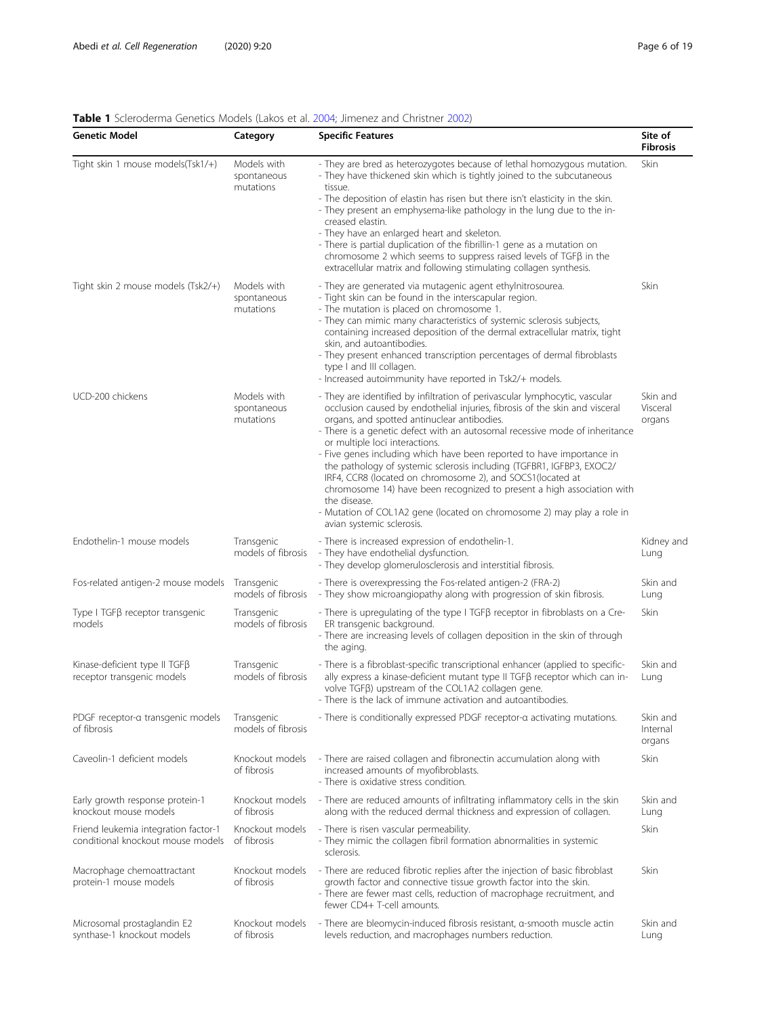| <b>Table 1</b> Sciencerting Genetics Moders (LaNOs et al. 2004, Jimenez and Christier 2002)<br><b>Genetic Model</b> | Category                                | <b>Specific Features</b>                                                                                                                                                                                                                                                                                                                                                                                                                                                                                                                                                                                                                                                                                                                    | Site of                        |
|---------------------------------------------------------------------------------------------------------------------|-----------------------------------------|---------------------------------------------------------------------------------------------------------------------------------------------------------------------------------------------------------------------------------------------------------------------------------------------------------------------------------------------------------------------------------------------------------------------------------------------------------------------------------------------------------------------------------------------------------------------------------------------------------------------------------------------------------------------------------------------------------------------------------------------|--------------------------------|
|                                                                                                                     |                                         |                                                                                                                                                                                                                                                                                                                                                                                                                                                                                                                                                                                                                                                                                                                                             | <b>Fibrosis</b>                |
| Tight skin 1 mouse models(Tsk1/+)                                                                                   | Models with<br>spontaneous<br>mutations | - They are bred as heterozygotes because of lethal homozygous mutation.<br>- They have thickened skin which is tightly joined to the subcutaneous<br>tissue.                                                                                                                                                                                                                                                                                                                                                                                                                                                                                                                                                                                | Skin                           |
|                                                                                                                     |                                         | - The deposition of elastin has risen but there isn't elasticity in the skin.<br>- They present an emphysema-like pathology in the lung due to the in-<br>creased elastin.                                                                                                                                                                                                                                                                                                                                                                                                                                                                                                                                                                  |                                |
|                                                                                                                     |                                         | - They have an enlarged heart and skeleton.<br>- There is partial duplication of the fibrillin-1 gene as a mutation on<br>chromosome 2 which seems to suppress raised levels of TGFB in the<br>extracellular matrix and following stimulating collagen synthesis.                                                                                                                                                                                                                                                                                                                                                                                                                                                                           |                                |
| Tight skin 2 mouse models (Tsk2/+)                                                                                  | Models with<br>spontaneous<br>mutations | - They are generated via mutagenic agent ethylnitrosourea.<br>- Tight skin can be found in the interscapular region.<br>- The mutation is placed on chromosome 1.<br>- They can mimic many characteristics of systemic sclerosis subjects,<br>containing increased deposition of the dermal extracellular matrix, tight<br>skin, and autoantibodies.<br>- They present enhanced transcription percentages of dermal fibroblasts<br>type I and III collagen.<br>- Increased autoimmunity have reported in Tsk2/+ models.                                                                                                                                                                                                                     | Skin                           |
| UCD-200 chickens                                                                                                    | Models with<br>spontaneous<br>mutations | - They are identified by infiltration of perivascular lymphocytic, vascular<br>occlusion caused by endothelial injuries, fibrosis of the skin and visceral<br>organs, and spotted antinuclear antibodies.<br>- There is a genetic defect with an autosomal recessive mode of inheritance<br>or multiple loci interactions.<br>- Five genes including which have been reported to have importance in<br>the pathology of systemic sclerosis including (TGFBR1, IGFBP3, EXOC2/<br>IRF4, CCR8 (located on chromosome 2), and SOCS1(located at<br>chromosome 14) have been recognized to present a high association with<br>the disease.<br>- Mutation of COL1A2 gene (located on chromosome 2) may play a role in<br>avian systemic sclerosis. | Skin and<br>Visceral<br>organs |
| Endothelin-1 mouse models                                                                                           | Transgenic<br>models of fibrosis        | - There is increased expression of endothelin-1.<br>- They have endothelial dysfunction.<br>- They develop glomerulosclerosis and interstitial fibrosis.                                                                                                                                                                                                                                                                                                                                                                                                                                                                                                                                                                                    | Kidney and<br>Lung             |
| Fos-related antigen-2 mouse models Transgenic                                                                       | models of fibrosis                      | - There is overexpressing the Fos-related antigen-2 (FRA-2)<br>- They show microangiopathy along with progression of skin fibrosis.                                                                                                                                                                                                                                                                                                                                                                                                                                                                                                                                                                                                         | Skin and<br>Lung               |
| Type I TGFβ receptor transgenic<br>models                                                                           | Transgenic<br>models of fibrosis        | - There is upregulating of the type I TGF $\beta$ receptor in fibroblasts on a Cre-<br>ER transgenic background.<br>- There are increasing levels of collagen deposition in the skin of through<br>the aging.                                                                                                                                                                                                                                                                                                                                                                                                                                                                                                                               | <b>Skin</b>                    |
| Kinase-deficient type II TGFß<br>receptor transgenic models                                                         | Transgenic<br>models of fibrosis        | - There is a fibroblast-specific transcriptional enhancer (applied to specific-<br>ally express a kinase-deficient mutant type II TGFβ receptor which can in-<br>volve TGFβ) upstream of the COL1A2 collagen gene.<br>- There is the lack of immune activation and autoantibodies.                                                                                                                                                                                                                                                                                                                                                                                                                                                          | Skin and<br>Lung               |
| PDGF receptor-a transgenic models<br>of fibrosis                                                                    | Transgenic<br>models of fibrosis        | - There is conditionally expressed PDGF receptor-a activating mutations.                                                                                                                                                                                                                                                                                                                                                                                                                                                                                                                                                                                                                                                                    | Skin and<br>Internal<br>organs |
| Caveolin-1 deficient models                                                                                         | Knockout models<br>of fibrosis          | - There are raised collagen and fibronectin accumulation along with<br>increased amounts of myofibroblasts.<br>- There is oxidative stress condition.                                                                                                                                                                                                                                                                                                                                                                                                                                                                                                                                                                                       | <b>Skin</b>                    |
| Early growth response protein-1<br>knockout mouse models                                                            | Knockout models<br>of fibrosis          | - There are reduced amounts of infiltrating inflammatory cells in the skin<br>along with the reduced dermal thickness and expression of collagen.                                                                                                                                                                                                                                                                                                                                                                                                                                                                                                                                                                                           | Skin and<br>Lung               |
| Friend leukemia integration factor-1<br>conditional knockout mouse models                                           | Knockout models<br>of fibrosis          | - There is risen vascular permeability.<br>- They mimic the collagen fibril formation abnormalities in systemic<br>sclerosis.                                                                                                                                                                                                                                                                                                                                                                                                                                                                                                                                                                                                               | Skin                           |
| Macrophage chemoattractant<br>protein-1 mouse models                                                                | Knockout models<br>of fibrosis          | - There are reduced fibrotic replies after the injection of basic fibroblast<br>growth factor and connective tissue growth factor into the skin.<br>- There are fewer mast cells, reduction of macrophage recruitment, and<br>fewer CD4+ T-cell amounts.                                                                                                                                                                                                                                                                                                                                                                                                                                                                                    | <b>Skin</b>                    |
| Microsomal prostaglandin E2<br>synthase-1 knockout models                                                           | Knockout models<br>of fibrosis          | - There are bleomycin-induced fibrosis resistant, a-smooth muscle actin<br>levels reduction, and macrophages numbers reduction.                                                                                                                                                                                                                                                                                                                                                                                                                                                                                                                                                                                                             | Skin and<br>Lung               |

# <span id="page-5-0"></span>Table 1 Scleroderma Genetics Models (Lakos et al. [2004;](#page-16-0) Jimenez and Christner [2002](#page-16-0))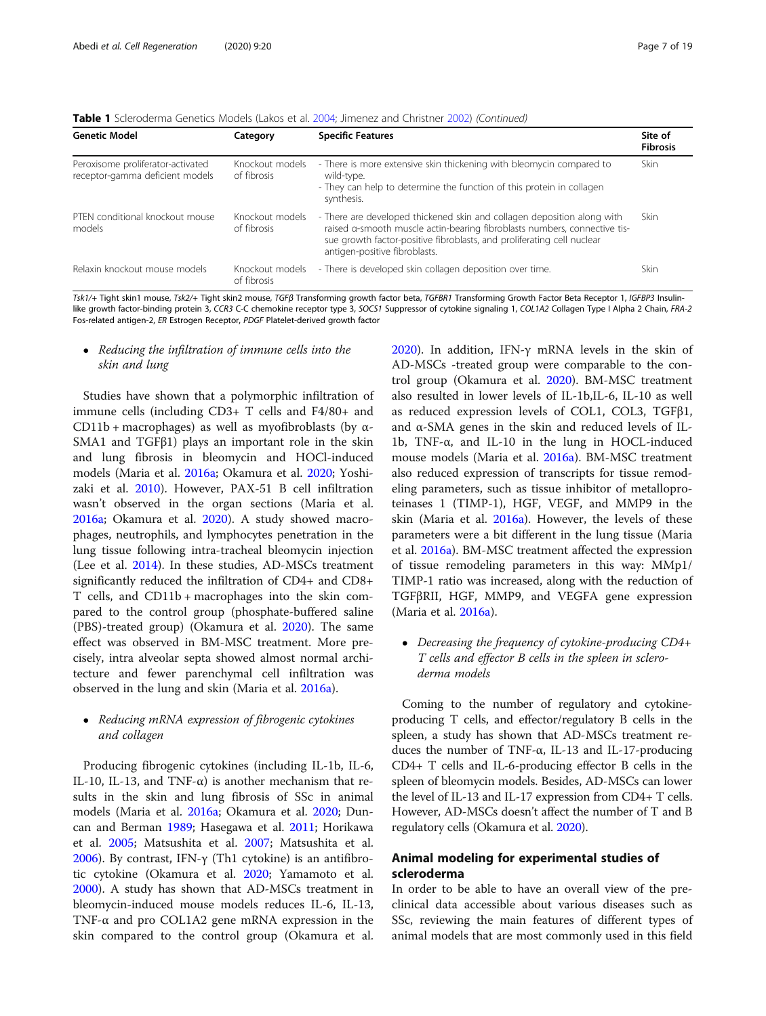| Table 1 Scleroderma Genetics Models (Lakos et al. 2004; Jimenez and Christner 2002) (Continued) |  |  |  |  |  |  |  |
|-------------------------------------------------------------------------------------------------|--|--|--|--|--|--|--|
|-------------------------------------------------------------------------------------------------|--|--|--|--|--|--|--|

| <b>Genetic Model</b>                                                 | Category                       | <b>Specific Features</b>                                                                                                                                                                                                                                        | Site of<br><b>Fibrosis</b> |
|----------------------------------------------------------------------|--------------------------------|-----------------------------------------------------------------------------------------------------------------------------------------------------------------------------------------------------------------------------------------------------------------|----------------------------|
| Peroxisome proliferator-activated<br>receptor-gamma deficient models | Knockout models<br>of fibrosis | - There is more extensive skin thickening with bleomycin compared to<br>wild-type.<br>- They can help to determine the function of this protein in collagen<br>synthesis.                                                                                       | <b>Skin</b>                |
| PTEN conditional knockout mouse<br>models                            | Knockout models<br>of fibrosis | - There are developed thickened skin and collagen deposition along with<br>raised a-smooth muscle actin-bearing fibroblasts numbers, connective tis-<br>sue growth factor-positive fibroblasts, and proliferating cell nuclear<br>antigen-positive fibroblasts. | <b>Skin</b>                |
| Relaxin knockout mouse models                                        | Knockout models<br>of fibrosis | - There is developed skin collagen deposition over time.                                                                                                                                                                                                        | Skin                       |

Tsk1/+ Tight skin1 mouse, Tsk2/+ Tight skin2 mouse, TGFβ Transforming growth factor beta, TGFBR1 Transforming Growth Factor Beta Receptor 1, IGFBP3 Insulinlike growth factor-binding protein 3, CCR3 C-C chemokine receptor type 3, SOCS1 Suppressor of cytokine signaling 1, COL1A2 Collagen Type I Alpha 2 Chain, FRA-2 Fos-related antigen-2, ER Estrogen Receptor, PDGF Platelet-derived growth factor

#### • Reducing the infiltration of immune cells into the skin and lung

Studies have shown that a polymorphic infiltration of immune cells (including CD3+ T cells and F4/80+ and CD11b + macrophages) as well as myofibroblasts (by  $\alpha$ -SMA1 and TGFβ1) plays an important role in the skin and lung fibrosis in bleomycin and HOCl-induced models (Maria et al. [2016a;](#page-16-0) Okamura et al. [2020](#page-17-0); Yoshizaki et al. [2010\)](#page-18-0). However, PAX-51 B cell infiltration wasn't observed in the organ sections (Maria et al. [2016a;](#page-16-0) Okamura et al. [2020](#page-17-0)). A study showed macrophages, neutrophils, and lymphocytes penetration in the lung tissue following intra-tracheal bleomycin injection (Lee et al. [2014\)](#page-16-0). In these studies, AD-MSCs treatment significantly reduced the infiltration of CD4+ and CD8+ T cells, and CD11b + macrophages into the skin compared to the control group (phosphate-buffered saline (PBS)-treated group) (Okamura et al. [2020](#page-17-0)). The same effect was observed in BM-MSC treatment. More precisely, intra alveolar septa showed almost normal architecture and fewer parenchymal cell infiltration was observed in the lung and skin (Maria et al. [2016a\)](#page-16-0).

#### • Reducing mRNA expression of fibrogenic cytokines and collagen

Producing fibrogenic cytokines (including IL-1b, IL-6, IL-10, IL-13, and TNF- $\alpha$ ) is another mechanism that results in the skin and lung fibrosis of SSc in animal models (Maria et al. [2016a;](#page-16-0) Okamura et al. [2020;](#page-17-0) Duncan and Berman [1989;](#page-15-0) Hasegawa et al. [2011;](#page-16-0) Horikawa et al. [2005](#page-16-0); Matsushita et al. [2007;](#page-17-0) Matsushita et al. [2006](#page-17-0)). By contrast, IFN- $γ$  (Th1 cytokine) is an antifibrotic cytokine (Okamura et al. [2020](#page-17-0); Yamamoto et al. [2000](#page-17-0)). A study has shown that AD-MSCs treatment in bleomycin-induced mouse models reduces IL-6, IL-13, TNF-α and pro COL1A2 gene mRNA expression in the skin compared to the control group (Okamura et al. [2020](#page-17-0)). In addition, IFN-γ mRNA levels in the skin of AD-MSCs -treated group were comparable to the control group (Okamura et al. [2020\)](#page-17-0). BM-MSC treatment also resulted in lower levels of IL-1b,IL-6, IL-10 as well as reduced expression levels of COL1, COL3, TGFβ1, and  $\alpha$ -SMA genes in the skin and reduced levels of IL-1b, TNF-α, and IL-10 in the lung in HOCL-induced mouse models (Maria et al. [2016a\)](#page-16-0). BM-MSC treatment also reduced expression of transcripts for tissue remodeling parameters, such as tissue inhibitor of metalloproteinases 1 (TIMP-1), HGF, VEGF, and MMP9 in the skin (Maria et al. [2016a\)](#page-16-0). However, the levels of these parameters were a bit different in the lung tissue (Maria et al. [2016a](#page-16-0)). BM-MSC treatment affected the expression of tissue remodeling parameters in this way: MMp1/ TIMP-1 ratio was increased, along with the reduction of TGFβRII, HGF, MMP9, and VEGFA gene expression (Maria et al. [2016a\)](#page-16-0).

• Decreasing the frequency of cytokine-producing CD4+ T cells and effector B cells in the spleen in scleroderma models

Coming to the number of regulatory and cytokineproducing T cells, and effector/regulatory B cells in the spleen, a study has shown that AD-MSCs treatment reduces the number of TNF-α, IL-13 and IL-17-producing CD4+ T cells and IL-6-producing effector B cells in the spleen of bleomycin models. Besides, AD-MSCs can lower the level of IL-13 and IL-17 expression from CD4+ T cells. However, AD-MSCs doesn't affect the number of T and B regulatory cells (Okamura et al. [2020](#page-17-0)).

# Animal modeling for experimental studies of scleroderma

In order to be able to have an overall view of the preclinical data accessible about various diseases such as SSc, reviewing the main features of different types of animal models that are most commonly used in this field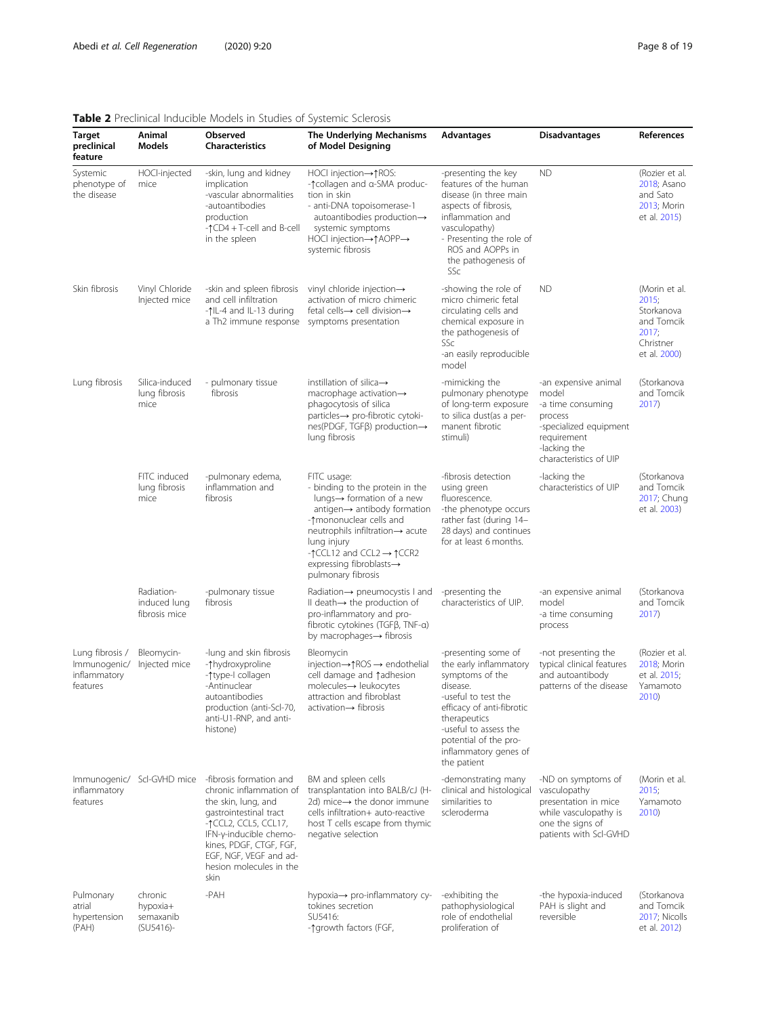<span id="page-7-0"></span>

| Target<br>preclinical<br>feature                            | Animal<br>Models                                 | Observed<br><b>Characteristics</b>                                                                                                                                                                                                            | a jacomete a ciona a aiz<br>The Underlying Mechanisms<br>of Model Designing                                                                                                                                                                                                                                                                | Advantages                                                                                                                                                                                                                                 | <b>Disadvantages</b>                                                                                                                             | References                                                                               |
|-------------------------------------------------------------|--------------------------------------------------|-----------------------------------------------------------------------------------------------------------------------------------------------------------------------------------------------------------------------------------------------|--------------------------------------------------------------------------------------------------------------------------------------------------------------------------------------------------------------------------------------------------------------------------------------------------------------------------------------------|--------------------------------------------------------------------------------------------------------------------------------------------------------------------------------------------------------------------------------------------|--------------------------------------------------------------------------------------------------------------------------------------------------|------------------------------------------------------------------------------------------|
| Systemic<br>phenotype of<br>the disease                     | HOCl-injected<br>mice                            | -skin, lung and kidney<br>implication<br>-vascular abnormalities<br>-autoantibodies<br>production<br>$-\uparrow$ CD4 + T-cell and B-cell<br>in the spleen                                                                                     | HOCI injection→↑ROS:<br>- ↑ collagen and α-SMA produc-<br>tion in skin<br>- anti-DNA topoisomerase-1<br>autoantibodies production $\rightarrow$<br>systemic symptoms<br>HOCl injection→↑AOPP→<br>systemic fibrosis                                                                                                                         | -presenting the key<br>features of the human<br>disease (in three main<br>aspects of fibrosis,<br>inflammation and<br>vasculopathy)<br>- Presenting the role of<br>ROS and AOPPs in<br>the pathogenesis of<br>SSc                          | <b>ND</b>                                                                                                                                        | (Rozier et al.<br>2018; Asano<br>and Sato<br>2013; Morin<br>et al. 2015)                 |
| Skin fibrosis                                               | Vinyl Chloride<br>Injected mice                  | -skin and spleen fibrosis<br>and cell infiltration<br>-1L-4 and IL-13 during<br>a Th2 immune response                                                                                                                                         | vinyl chloride injection→<br>activation of micro chimeric<br>fetal cells→ cell division→<br>symptoms presentation                                                                                                                                                                                                                          | -showing the role of<br>micro chimeric fetal<br>circulating cells and<br>chemical exposure in<br>the pathogenesis of<br>SSc<br>-an easily reproducible<br>model                                                                            | <b>ND</b>                                                                                                                                        | (Morin et al.<br>2015;<br>Storkanova<br>and Tomcik<br>2017;<br>Christner<br>et al. 2000) |
| Lung fibrosis                                               | Silica-induced<br>lung fibrosis<br>mice          | - pulmonary tissue<br>fibrosis                                                                                                                                                                                                                | instillation of silica $\rightarrow$<br>macrophage activation $\rightarrow$<br>phagocytosis of silica<br>particles→ pro-fibrotic cytoki-<br>$nes(PDGF, TGF\beta)$ production $\rightarrow$<br>lung fibrosis                                                                                                                                | -mimicking the<br>pulmonary phenotype<br>of long-term exposure<br>to silica dust(as a per-<br>manent fibrotic<br>stimuli)                                                                                                                  | -an expensive animal<br>model<br>-a time consuming<br>process<br>-specialized equipment<br>requirement<br>-lacking the<br>characteristics of UIP | (Storkanova<br>and Tomcik<br>2017)                                                       |
|                                                             | FITC induced<br>lung fibrosis<br>mice            | -pulmonary edema,<br>inflammation and<br>fibrosis                                                                                                                                                                                             | FITC usage:<br>- binding to the protein in the<br>lungs $\rightarrow$ formation of a new<br>antigen $\rightarrow$ antibody formation<br>-1 mononuclear cells and<br>neutrophils infiltration→ acute<br>lung injury<br>$-\uparrow$ CCL12 and CCL2 $\rightarrow \uparrow$ CCR2<br>expressing fibroblasts $\rightarrow$<br>pulmonary fibrosis | -fibrosis detection<br>using green<br>fluorescence.<br>-the phenotype occurs<br>rather fast (during 14-<br>28 days) and continues<br>for at least 6 months.                                                                                | -lacking the<br>characteristics of UIP                                                                                                           | (Storkanova<br>and Tomcik<br>2017; Chung<br>et al. 2003)                                 |
|                                                             | Radiation-<br>induced lung<br>fibrosis mice      | -pulmonary tissue<br>fibrosis                                                                                                                                                                                                                 | Radiation→ pneumocystis I and<br>Il death $\rightarrow$ the production of<br>pro-inflammatory and pro-<br>fibrotic cytokines ( $TGF\beta$ , $TNF-\alpha$ )<br>by macrophages→ fibrosis                                                                                                                                                     | -presenting the<br>characteristics of UIP.                                                                                                                                                                                                 | -an expensive animal<br>model<br>-a time consuming<br>process                                                                                    | (Storkanova<br>and Tomcik<br>2017)                                                       |
| Lung fibrosis /<br>Immunogenic/<br>inflammatory<br>features | Bleomycin-<br>Injected mice                      | -lung and skin fibrosis<br>-1hydroxyproline<br>-^type-I collagen<br>-Antinuclear<br>autoantibodies<br>production (anti-Scl-70,<br>anti-U1-RNP, and anti-<br>histone)                                                                          | Bleomycin<br>injection→↑ROS → endothelial<br>cell damage and fadhesion<br>$molecules \rightarrow$ leukocytes<br>attraction and fibroblast<br>$activation \rightarrow fibrosis$                                                                                                                                                             | -presenting some of<br>the early inflammatory<br>symptoms of the<br>disease.<br>-useful to test the<br>efficacy of anti-fibrotic<br>therapeutics<br>-useful to assess the<br>potential of the pro-<br>inflammatory genes of<br>the patient | -not presenting the<br>typical clinical features<br>and autoantibody<br>patterns of the disease                                                  | (Rozier et al.<br>2018; Morin<br>et al. 2015;<br>Yamamoto<br>2010)                       |
| inflammatory<br>features                                    | Immunogenic/ Scl-GVHD mice                       | -fibrosis formation and<br>chronic inflammation of<br>the skin, lung, and<br>gastrointestinal tract<br>-↑CCL2, CCL5, CCL17,<br>IFN-y-inducible chemo-<br>kines, PDGF, CTGF, FGF,<br>EGF, NGF, VEGF and ad-<br>hesion molecules in the<br>skin | BM and spleen cells<br>transplantation into BALB/cJ (H-<br>2d) mice $\rightarrow$ the donor immune<br>cells infiltration+ auto-reactive<br>host T cells escape from thymic<br>negative selection                                                                                                                                           | -demonstrating many<br>clinical and histological<br>similarities to<br>scleroderma                                                                                                                                                         | -ND on symptoms of<br>vasculopathy<br>presentation in mice<br>while vasculopathy is<br>one the signs of<br>patients with Scl-GVHD                | (Morin et al.<br>2015;<br>Yamamoto<br>2010)                                              |
| Pulmonary<br>atrial<br>hypertension<br>(PAH)                | chronic<br>hypoxia+<br>semaxanib<br>$(SU5416) -$ | -PAH                                                                                                                                                                                                                                          | hypoxia $\rightarrow$ pro-inflammatory cy-<br>tokines secretion<br>SU5416:<br>-^qrowth factors (FGF,                                                                                                                                                                                                                                       | -exhibiting the<br>pathophysiological<br>role of endothelial<br>proliferation of                                                                                                                                                           | -the hypoxia-induced<br>PAH is slight and<br>reversible                                                                                          | (Storkanova<br>and Tomcik<br>2017; Nicolls<br>et al. 2012)                               |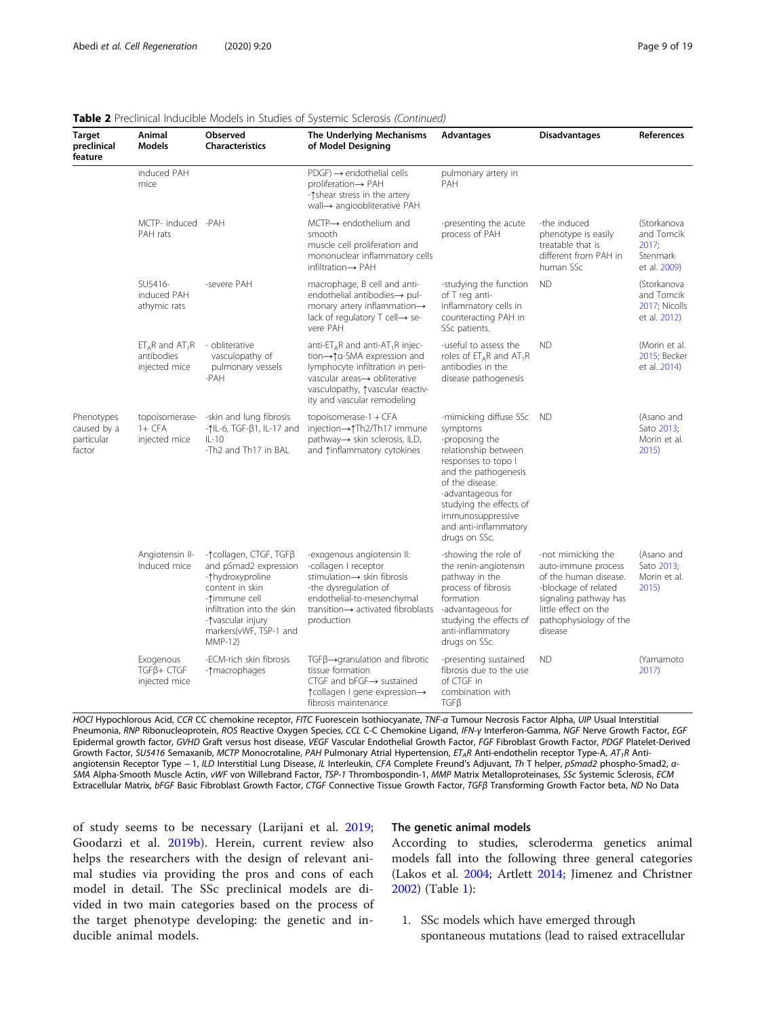| <b>Target</b><br>preclinical<br>feature           | Animal<br><b>Models</b>                          | Observed<br><b>Characteristics</b>                                                                                                                                                              | The Underlying Mechanisms<br>of Model Designing                                                                                                                                                                   | Advantages                                                                                                                                                                                                                                                       | <b>Disadvantages</b>                                                                                                                                                             | References                                                     |
|---------------------------------------------------|--------------------------------------------------|-------------------------------------------------------------------------------------------------------------------------------------------------------------------------------------------------|-------------------------------------------------------------------------------------------------------------------------------------------------------------------------------------------------------------------|------------------------------------------------------------------------------------------------------------------------------------------------------------------------------------------------------------------------------------------------------------------|----------------------------------------------------------------------------------------------------------------------------------------------------------------------------------|----------------------------------------------------------------|
|                                                   | induced PAH<br>mice                              |                                                                                                                                                                                                 | $PDGF) \rightarrow endothelial cells$<br>proliferation→ PAH<br>-1shear stress in the artery<br>wall→ angioobliterative PAH                                                                                        | pulmonary artery in<br>PAH                                                                                                                                                                                                                                       |                                                                                                                                                                                  |                                                                |
|                                                   | MCTP- induced -PAH<br>PAH rats                   |                                                                                                                                                                                                 | MCTP→ endothelium and<br>smooth<br>muscle cell proliferation and<br>mononuclear inflammatory cells<br>infiltration→ PAH                                                                                           | -presenting the acute<br>process of PAH                                                                                                                                                                                                                          | -the induced<br>phenotype is easily<br>treatable that is<br>different from PAH in<br>human SSc                                                                                   | (Storkanova<br>and Tomcik<br>2017;<br>Stenmark<br>et al. 2009) |
|                                                   | SU5416-<br>induced PAH<br>athymic rats           | -severe PAH                                                                                                                                                                                     | macrophage, B cell and anti-<br>endothelial antibodies→ pul-<br>monary artery inflammation $\rightarrow$<br>lack of regulatory T cell→ se-<br>vere PAH                                                            | -studying the function<br>of T reg anti-<br>inflammatory cells in<br>counteracting PAH in<br>SSc patients.                                                                                                                                                       | <b>ND</b>                                                                                                                                                                        | (Storkanova<br>and Tomcik<br>2017; Nicolls<br>et al. 2012)     |
|                                                   | $ETAR$ and $AT1R$<br>antibodies<br>injected mice | - obliterative<br>vasculopathy of<br>pulmonary vessels<br>-PAH                                                                                                                                  | anti-ETAR and anti-AT <sub>1</sub> R injec-<br>tion→↑α-SMA expression and<br>lymphocyte infiltration in peri-<br>vascular areas-> obliterative<br>vasculopathy, *vascular reactiv-<br>ity and vascular remodeling | -useful to assess the<br>roles of $ET_AR$ and $AT_1R$<br>antibodies in the<br>disease pathogenesis                                                                                                                                                               | <b>ND</b>                                                                                                                                                                        | (Morin et al.<br>2015; Becker<br>et al. 2014)                  |
| Phenotypes<br>caused by a<br>particular<br>factor | $1+$ CFA<br>injected mice                        | topoisomerase- -skin and lung fibrosis<br>-↑IL-6, TGF-β1, IL-17 and<br>$IL-10$<br>-Th2 and Th17 in BAL                                                                                          | topoisomerase-1 + CFA<br>injection→↑Th2/Th17 immune<br>pathway→ skin sclerosis, ILD,<br>and 1inflammatory cytokines                                                                                               | -mimicking diffuse SSc ND<br>symptoms<br>-proposing the<br>relationship between<br>responses to topo I<br>and the pathogenesis<br>of the disease.<br>-advantageous for<br>studying the effects of<br>immunosuppressive<br>and anti-inflammatory<br>drugs on SSc. |                                                                                                                                                                                  | (Asano and<br>Sato 2013:<br>Morin et al.<br>2015)              |
|                                                   | Angiotensin II-<br>Induced mice                  | -↑collagen, CTGF, TGFβ<br>and pSmad2 expression<br>-*hydroxyproline<br>content in skin<br>-1immune cell<br>infiltration into the skin<br>-Tvascular injury<br>markers(vWF, TSP-1 and<br>MMP-12) | -exogenous angiotensin II:<br>-collagen I receptor<br>stimulation  ightharpoonup skin fibrosis<br>-the dysregulation of<br>endothelial-to-mesenchymal<br>transition→ activated fibroblasts<br>production          | -showing the role of<br>the renin-angiotensin<br>pathway in the<br>process of fibrosis<br>formation<br>-advantageous for<br>studying the effects of<br>anti-inflammatory<br>drugs on SSc.                                                                        | -not mimicking the<br>auto-immune process<br>of the human disease.<br>-blockage of related<br>signaling pathway has<br>little effect on the<br>pathophysiology of the<br>disease | (Asano and<br>Sato 2013:<br>Morin et al.<br>2015)              |
|                                                   | Exogenous<br>$TGFB + CTGF$<br>injected mice      | -ECM-rich skin fibrosis<br>-1 macrophages                                                                                                                                                       | $TGF\beta \rightarrow$ granulation and fibrotic<br>tissue formation<br>CTGF and $bf\rightarrow$ sustained<br>↑ collagen I gene expression→<br>fibrosis maintenance                                                | -presenting sustained<br>fibrosis due to the use<br>of CTGF in<br>combination with<br>TGFB                                                                                                                                                                       | <b>ND</b>                                                                                                                                                                        | (Yamamoto<br>2017)                                             |

#### Table 2 Preclinical Inducible Models in Studies of Systemic Sclerosis (Continued)

HOCI Hypochlorous Acid, CCR CC chemokine receptor, FITC Fuorescein Isothiocyanate, TNF-a Tumour Necrosis Factor Alpha, UIP Usual Interstitial Pneumonia, RNP Ribonucleoprotein, ROS Reactive Oxygen Species, CCL C-C Chemokine Ligand, IFN-γ Interferon-Gamma, NGF Nerve Growth Factor, EGF Epidermal growth factor, GVHD Graft versus host disease, VEGF Vascular Endothelial Growth Factor, FGF Fibroblast Growth Factor, PDGF Platelet-Derived Growth Factor, SU5416 Semaxanib, MCTP Monocrotaline, PAH Pulmonary Atrial Hypertension,  $ET_A R$  Anti-endothelin receptor Type-A, AT<sub>1</sub>R Antiangiotensin Receptor Type - 1, ILD Interstitial Lung Disease, IL Interleukin, CFA Complete Freund's Adjuvant, Th T helper, pSmad2 phospho-Smad2, α-SMA Alpha-Smooth Muscle Actin, vWF von Willebrand Factor, TSP-1 Thrombospondin-1, MMP Matrix Metalloproteinases, SSc Systemic Sclerosis, ECM Extracellular Matrix, bFGF Basic Fibroblast Growth Factor, CTGF Connective Tissue Growth Factor, TGFβ Transforming Growth Factor beta, ND No Data

of study seems to be necessary (Larijani et al. [2019](#page-16-0); Goodarzi et al. [2019b\)](#page-16-0). Herein, current review also helps the researchers with the design of relevant animal studies via providing the pros and cons of each model in detail. The SSc preclinical models are divided in two main categories based on the process of the target phenotype developing: the genetic and inducible animal models.

#### The genetic animal models

According to studies, scleroderma genetics animal models fall into the following three general categories (Lakos et al. [2004;](#page-16-0) Artlett [2014;](#page-15-0) Jimenez and Christner [2002](#page-16-0)) (Table [1](#page-5-0)):

1. SSc models which have emerged through spontaneous mutations (lead to raised extracellular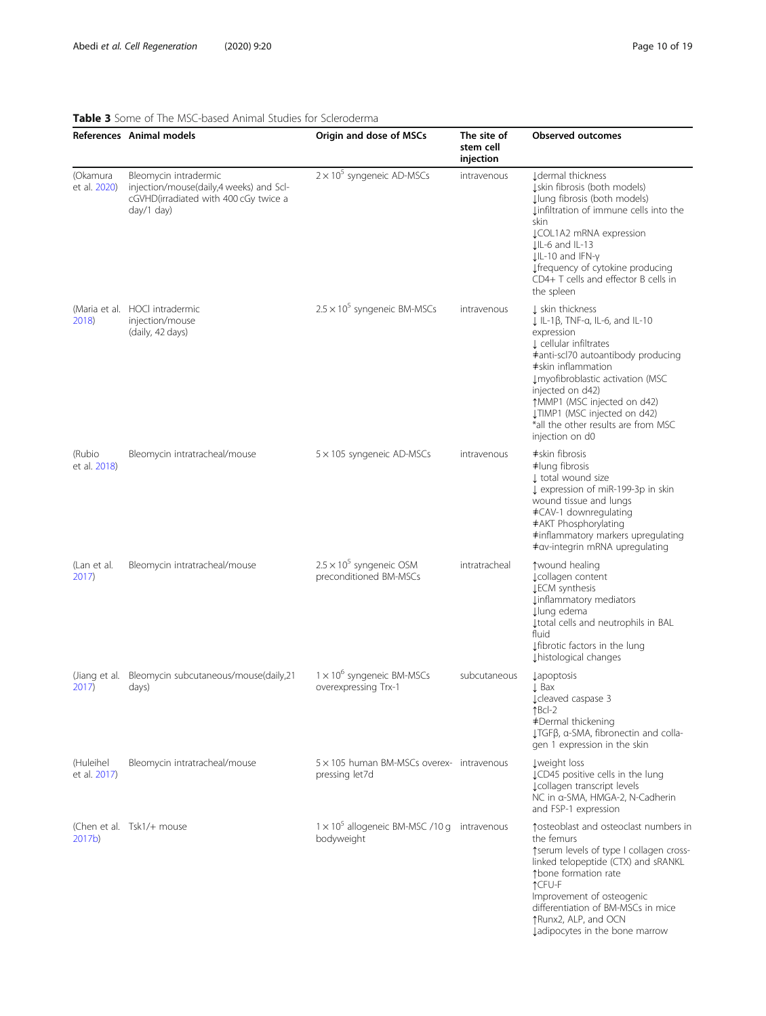#### <span id="page-9-0"></span>Table 3 Some of The MSC-based Animal Studies for Scleroderma

|                           | References Animal models                                                                                                | Origin and dose of MSCs                                            | The site of<br>stem cell<br>injection | <b>Observed outcomes</b>                                                                                                                                                                                                                                                                                                                                    |
|---------------------------|-------------------------------------------------------------------------------------------------------------------------|--------------------------------------------------------------------|---------------------------------------|-------------------------------------------------------------------------------------------------------------------------------------------------------------------------------------------------------------------------------------------------------------------------------------------------------------------------------------------------------------|
| (Okamura<br>et al. 2020)  | Bleomycin intradermic<br>injection/mouse(daily,4 weeks) and Scl-<br>cGVHD(irradiated with 400 cGy twice a<br>day/1 day) | $2 \times 10^5$ syngeneic AD-MSCs                                  | intravenous                           | I dermal thickness<br>Įskin fibrosis (both models)<br>Įlung fibrosis (both models)<br>Linfiltration of immune cells into the<br>skin<br><b>JCOL1A2 mRNA expression</b><br>$LIL-6$ and $IL-13$<br>$LIL-10$ and IFN- $\gamma$<br>↓ frequency of cytokine producing<br>CD4+ T cells and effector B cells in<br>the spleen                                      |
| 2018)                     | (Maria et al. HOCl intradermic<br>injection/mouse<br>(daily, 42 days)                                                   | $2.5 \times 10^5$ syngeneic BM-MSCs                                | intravenous                           | ↓ skin thickness<br>$\downarrow$ IL-1 $\beta$ , TNF-a, IL-6, and IL-10<br>expression<br>L cellular infiltrates<br>#anti-scl70 autoantibody producing<br>#skin inflammation<br>Imyofibroblastic activation (MSC<br>injected on d42)<br>↑MMP1 (MSC injected on d42)<br>JTIMP1 (MSC injected on d42)<br>*all the other results are from MSC<br>injection on d0 |
| (Rubio<br>et al. 2018)    | Bleomycin intratracheal/mouse                                                                                           | 5 × 105 syngeneic AD-MSCs                                          | intravenous                           | ≠skin fibrosis<br>#lung fibrosis<br>I total wound size<br>L expression of miR-199-3p in skin<br>wound tissue and lungs<br>#CAV-1 downregulating<br>#AKT Phosphorylating<br>#inflammatory markers upregulating<br>≠av-integrin mRNA upregulating                                                                                                             |
| (Lan et al.<br>2017)      | Bleomycin intratracheal/mouse                                                                                           | $2.5 \times 10^5$ syngeneic OSM<br>preconditioned BM-MSCs          | intratracheal                         | ↑ wound healing<br>¿collagen content<br><b>LECM</b> synthesis<br>Linflammatory mediators<br>↓lung edema<br>I total cells and neutrophils in BAL<br>fluid<br>Ifibrotic factors in the lung<br>Lhistological changes                                                                                                                                          |
| (Jiang et al.<br>2017)    | Bleomycin subcutaneous/mouse(daily,21<br>days)                                                                          | $1 \times 10^6$ syngeneic BM-MSCs<br>overexpressing Trx-1          | subcutaneous                          | <b>Lapoptosis</b><br>$\downarrow$ Bax<br>¿cleaved caspase 3<br>$fBcl-2$<br>#Dermal thickening<br>LTGFβ, α-SMA, fibronectin and colla-<br>gen 1 expression in the skin                                                                                                                                                                                       |
| (Huleihel<br>et al. 2017) | Bleomycin intratracheal/mouse                                                                                           | $5 \times 105$ human BM-MSCs overex- intravenous<br>pressing let7d |                                       | Lweight loss<br>LCD45 positive cells in the lung<br>Lcollagen transcript levels<br>NC in a-SMA, HMGA-2, N-Cadherin<br>and FSP-1 expression                                                                                                                                                                                                                  |
| 2017 <sub>b</sub>         | (Chen et al. Tsk1/+ mouse                                                                                               | $1 \times 10^5$ allogeneic BM-MSC /10 g intravenous<br>bodyweight  |                                       | tosteoblast and osteoclast numbers in<br>the femurs<br>tserum levels of type I collagen cross-<br>linked telopeptide (CTX) and sRANKL<br>tbone formation rate<br>↑CFU-F<br>Improvement of osteogenic<br>differentiation of BM-MSCs in mice<br>↑Runx2, ALP, and OCN<br>Jadipocytes in the bone marrow                                                        |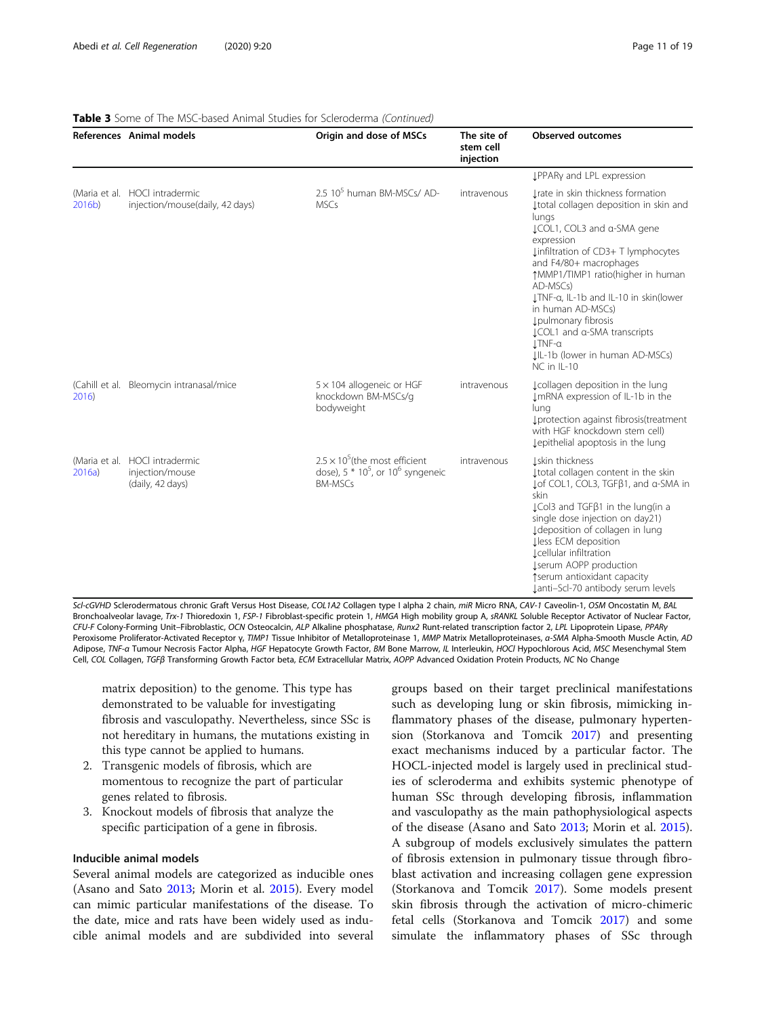|        | References Animal models                                              | Origin and dose of MSCs                                                                            | The site of<br>stem cell<br>injection | <b>Observed outcomes</b>                                                                                                                                                                                                                                                                                                                                                                                                              |
|--------|-----------------------------------------------------------------------|----------------------------------------------------------------------------------------------------|---------------------------------------|---------------------------------------------------------------------------------------------------------------------------------------------------------------------------------------------------------------------------------------------------------------------------------------------------------------------------------------------------------------------------------------------------------------------------------------|
|        |                                                                       |                                                                                                    |                                       | LPPARy and LPL expression                                                                                                                                                                                                                                                                                                                                                                                                             |
| 2016b) | (Maria et al. HOCl intradermic<br>injection/mouse(daily, 42 days)     | 2.5 10 <sup>5</sup> human BM-MSCs/ AD-<br><b>MSCs</b>                                              | intravenous                           | Irate in skin thickness formation<br>I total collagen deposition in skin and<br>lungs<br>LCOL1, COL3 and a-SMA gene<br>expression<br>Linfiltration of CD3+ T lymphocytes<br>and F4/80+ macrophages<br>↑MMP1/TIMP1 ratio(higher in human<br>AD-MSCs)<br>LTNF-a, IL-1b and IL-10 in skin(lower<br>in human AD-MSCs)<br>Lpulmonary fibrosis<br>LCOL1 and a-SMA transcripts<br>I.TNF-a<br>J.IL-1b (lower in human AD-MSCs)<br>NC in IL-10 |
| 2016)  | (Cahill et al. Bleomycin intranasal/mice                              | $5 \times 104$ allogeneic or HGF<br>knockdown BM-MSCs/g<br>bodyweight                              | intravenous                           | Lcollagen deposition in the lung<br>ImRNA expression of IL-1b in the<br>lung<br>I protection against fibrosis (treatment<br>with HGF knockdown stem cell)<br>Lepithelial apoptosis in the lung                                                                                                                                                                                                                                        |
| 2016a) | (Maria et al. HOCl intradermic<br>injection/mouse<br>(daily, 42 days) | $2.5 \times 10^5$ (the most efficient<br>dose), $5 * 10^5$ , or $10^6$ syngeneic<br><b>BM-MSCs</b> | intravenous                           | Lskin thickness<br>I total collagen content in the skin<br>Lof COL1, COL3, TGFβ1, and α-SMA in<br>skin<br>LCol3 and TGFβ1 in the lung(in a<br>single dose injection on day21)<br>I deposition of collagen in lung<br>Lless ECM deposition<br>Lcellular infiltration<br><b>Jserum AOPP production</b><br>↑serum antioxidant capacity<br>Janti-Scl-70 antibody serum levels                                                             |

#### Table 3 Some of The MSC-based Animal Studies for Scleroderma (Continued)

Scl-cGVHD Sclerodermatous chronic Graft Versus Host Disease, COL1A2 Collagen type I alpha 2 chain, miR Micro RNA, CAV-1 Caveolin-1, OSM Oncostatin M, BAL Bronchoalveolar lavage, Trx-1 Thioredoxin 1, FSP-1 Fibroblast-specific protein 1, HMGA High mobility group A, sRANKL Soluble Receptor Activator of Nuclear Factor, CFU-F Colony-Forming Unit–Fibroblastic, OCN Osteocalcin, ALP Alkaline phosphatase, Runx2 Runt-related transcription factor 2, LPL Lipoprotein Lipase, PPARγ Peroxisome Proliferator-Activated Receptor γ, TIMP1 Tissue Inhibitor of Metalloproteinase 1, MMP Matrix Metalloproteinases, α-SMA Alpha-Smooth Muscle Actin, AD Adipose, TNF-α Tumour Necrosis Factor Alpha, HGF Hepatocyte Growth Factor, BM Bone Marrow, IL Interleukin, HOCl Hypochlorous Acid, MSC Mesenchymal Stem Cell, COL Collagen, TGFβ Transforming Growth Factor beta, ECM Extracellular Matrix, AOPP Advanced Oxidation Protein Products, NC No Change

matrix deposition) to the genome. This type has demonstrated to be valuable for investigating fibrosis and vasculopathy. Nevertheless, since SSc is not hereditary in humans, the mutations existing in this type cannot be applied to humans.

- 2. Transgenic models of fibrosis, which are momentous to recognize the part of particular genes related to fibrosis.
- 3. Knockout models of fibrosis that analyze the specific participation of a gene in fibrosis.

#### Inducible animal models

Several animal models are categorized as inducible ones (Asano and Sato [2013;](#page-15-0) Morin et al. [2015](#page-17-0)). Every model can mimic particular manifestations of the disease. To the date, mice and rats have been widely used as inducible animal models and are subdivided into several

groups based on their target preclinical manifestations such as developing lung or skin fibrosis, mimicking inflammatory phases of the disease, pulmonary hypertension (Storkanova and Tomcik [2017](#page-17-0)) and presenting exact mechanisms induced by a particular factor. The HOCL-injected model is largely used in preclinical studies of scleroderma and exhibits systemic phenotype of human SSc through developing fibrosis, inflammation and vasculopathy as the main pathophysiological aspects of the disease (Asano and Sato [2013](#page-15-0); Morin et al. [2015](#page-17-0)). A subgroup of models exclusively simulates the pattern of fibrosis extension in pulmonary tissue through fibroblast activation and increasing collagen gene expression (Storkanova and Tomcik [2017\)](#page-17-0). Some models present skin fibrosis through the activation of micro-chimeric fetal cells (Storkanova and Tomcik [2017](#page-17-0)) and some simulate the inflammatory phases of SSc through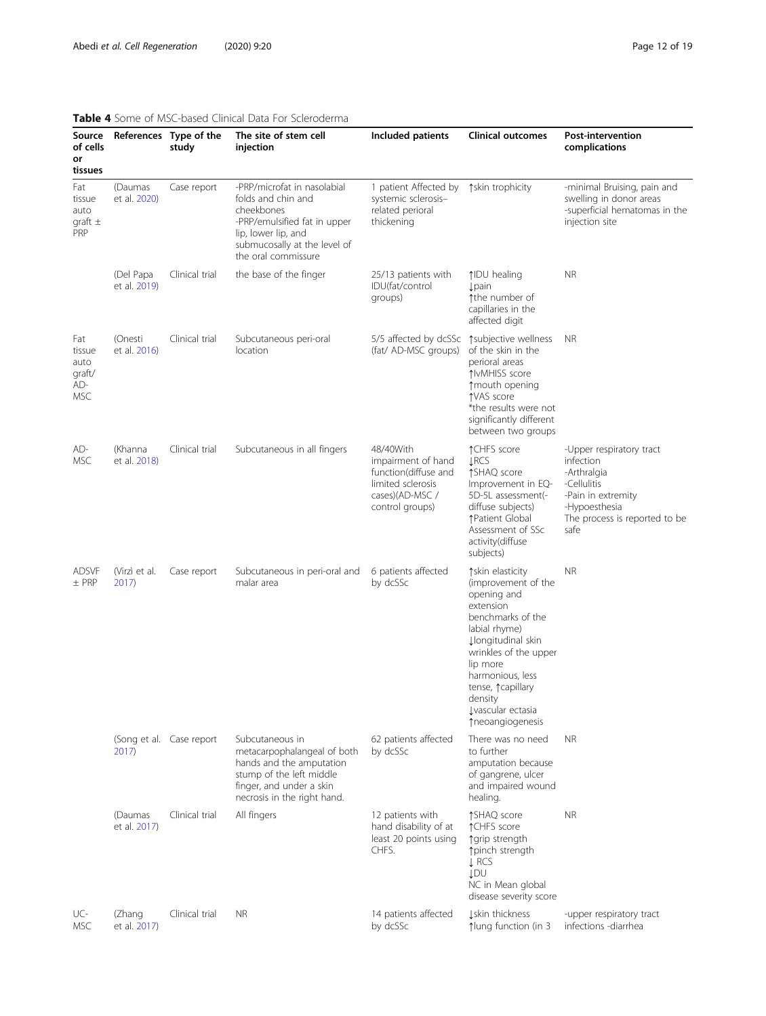# <span id="page-11-0"></span>Table 4 Some of MSC-based Clinical Data For Scleroderma

| Source<br>of cells<br>or<br>tissues           |                                  | References Type of the<br>study | The site of stem cell<br>iniection                                                                                                                                            | Included patients                                                                                                  | <b>Clinical outcomes</b>                                                                                                                                                                                                                                                  | <b>Post-intervention</b><br>complications                                                                                                           |
|-----------------------------------------------|----------------------------------|---------------------------------|-------------------------------------------------------------------------------------------------------------------------------------------------------------------------------|--------------------------------------------------------------------------------------------------------------------|---------------------------------------------------------------------------------------------------------------------------------------------------------------------------------------------------------------------------------------------------------------------------|-----------------------------------------------------------------------------------------------------------------------------------------------------|
| Fat<br>tissue<br>auto<br>qraft $\pm$<br>PRP   | (Daumas<br>et al. 2020)          | Case report                     | -PRP/microfat in nasolabial<br>folds and chin and<br>cheekbones<br>-PRP/emulsified fat in upper<br>lip, lower lip, and<br>submucosally at the level of<br>the oral commissure | 1 patient Affected by<br>systemic sclerosis-<br>related perioral<br>thickening                                     | tskin trophicity                                                                                                                                                                                                                                                          | -minimal Bruising, pain and<br>swelling in donor areas<br>-superficial hematomas in the<br>injection site                                           |
|                                               | (Del Papa<br>et al. 2019)        | Clinical trial                  | the base of the finger                                                                                                                                                        | 25/13 patients with<br>IDU(fat/control<br>groups)                                                                  | ↑IDU healing<br><b>Lpain</b><br>the number of<br>capillaries in the<br>affected digit                                                                                                                                                                                     | <b>NR</b>                                                                                                                                           |
| Fat<br>tissue<br>auto<br>graft/<br>AD-<br>MSC | (Onesti<br>et al. 2016)          | Clinical trial                  | Subcutaneous peri-oral<br>location                                                                                                                                            | 5/5 affected by dcSSc<br>(fat/ AD-MSC groups)                                                                      | ↑subjective wellness<br>of the skin in the<br>perioral areas<br>↑IvMHISS score<br>↑ mouth opening<br>↑VAS score<br>*the results were not<br>significantly different<br>between two groups                                                                                 | <b>NR</b>                                                                                                                                           |
| AD-<br>MSC                                    | (Khanna<br>et al. 2018)          | Clinical trial                  | Subcutaneous in all fingers                                                                                                                                                   | 48/40With<br>impairment of hand<br>function(diffuse and<br>limited sclerosis<br>cases)(AD-MSC /<br>control groups) | ↑CHFS score<br><b>LRCS</b><br>↑SHAQ score<br>Improvement in EQ-<br>5D-5L assessment(-<br>diffuse subjects)<br>↑Patient Global<br>Assessment of SSc<br>activity(diffuse<br>subjects)                                                                                       | -Upper respiratory tract<br>infection<br>-Arthralgia<br>-Cellulitis<br>-Pain in extremity<br>-Hypoesthesia<br>The process is reported to be<br>safe |
| <b>ADSVF</b><br>$±$ PRP                       | (Virzì et al.<br>2017)           | Case report                     | Subcutaneous in peri-oral and<br>malar area                                                                                                                                   | 6 patients affected<br>by dcSSc                                                                                    | ↑ skin elasticity<br>(improvement of the<br>opening and<br>extension<br>benchmarks of the<br>labial rhyme)<br><b>Jlongitudinal skin</b><br>wrinkles of the upper<br>lip more<br>harmonious, less<br>tense, ^capillary<br>density<br>Lyascular ectasia<br>↑neoangiogenesis | <b>NR</b>                                                                                                                                           |
|                                               | (Song et al. Case report<br>2017 |                                 | Subcutaneous in<br>metacarpophalangeal of both<br>hands and the amputation<br>stump of the left middle<br>finger, and under a skin<br>necrosis in the right hand.             | 62 patients affected<br>by dcSSc                                                                                   | There was no need<br>to further<br>amputation because<br>of gangrene, ulcer<br>and impaired wound<br>healing.                                                                                                                                                             | <b>NR</b>                                                                                                                                           |
|                                               | (Daumas<br>et al. 2017)          | Clinical trial                  | All fingers                                                                                                                                                                   | 12 patients with<br>hand disability of at<br>least 20 points using<br>CHFS.                                        | ↑SHAQ score<br>↑CHFS score<br>↑ grip strength<br>↑pinch strength<br>$L$ RCS<br><b>JDU</b><br>NC in Mean global<br>disease severity score                                                                                                                                  | <b>NR</b>                                                                                                                                           |
| UC-<br>MSC                                    | (Zhang<br>et al. 2017)           | Clinical trial                  | <b>NR</b>                                                                                                                                                                     | 14 patients affected<br>by dcSSc                                                                                   | Iskin thickness<br>↑lung function (in 3                                                                                                                                                                                                                                   | -upper respiratory tract<br>infections -diarrhea                                                                                                    |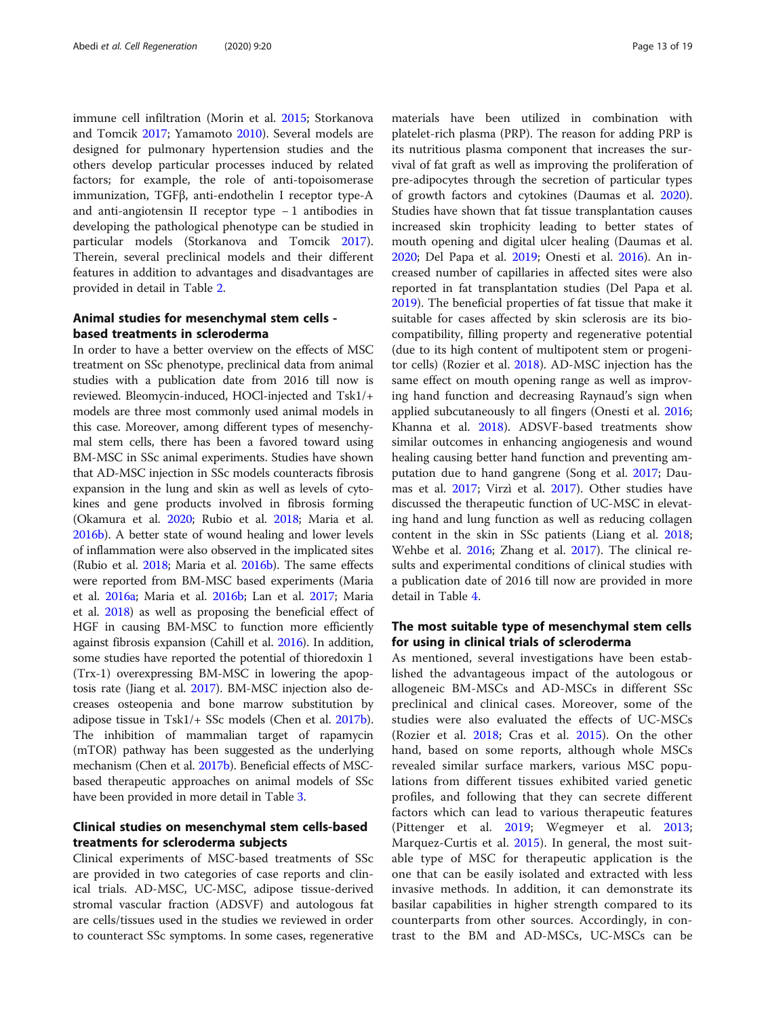immune cell infiltration (Morin et al. [2015;](#page-17-0) Storkanova and Tomcik [2017](#page-17-0); Yamamoto [2010\)](#page-17-0). Several models are designed for pulmonary hypertension studies and the others develop particular processes induced by related factors; for example, the role of anti-topoisomerase immunization, TGFβ, anti-endothelin I receptor type-A and anti-angiotensin II receptor type − 1 antibodies in developing the pathological phenotype can be studied in particular models (Storkanova and Tomcik [2017](#page-17-0)). Therein, several preclinical models and their different features in addition to advantages and disadvantages are provided in detail in Table [2](#page-7-0).

# Animal studies for mesenchymal stem cells based treatments in scleroderma

In order to have a better overview on the effects of MSC treatment on SSc phenotype, preclinical data from animal studies with a publication date from 2016 till now is reviewed. Bleomycin-induced, HOCl-injected and Tsk1/+ models are three most commonly used animal models in this case. Moreover, among different types of mesenchymal stem cells, there has been a favored toward using BM-MSC in SSc animal experiments. Studies have shown that AD-MSC injection in SSc models counteracts fibrosis expansion in the lung and skin as well as levels of cytokines and gene products involved in fibrosis forming (Okamura et al. [2020](#page-17-0); Rubio et al. [2018](#page-17-0); Maria et al. [2016b](#page-16-0)). A better state of wound healing and lower levels of inflammation were also observed in the implicated sites (Rubio et al. [2018;](#page-17-0) Maria et al. [2016b](#page-16-0)). The same effects were reported from BM-MSC based experiments (Maria et al. [2016a](#page-16-0); Maria et al. [2016b;](#page-16-0) Lan et al. [2017](#page-16-0); Maria et al. [2018\)](#page-16-0) as well as proposing the beneficial effect of HGF in causing BM-MSC to function more efficiently against fibrosis expansion (Cahill et al. [2016](#page-15-0)). In addition, some studies have reported the potential of thioredoxin 1 (Trx-1) overexpressing BM-MSC in lowering the apoptosis rate (Jiang et al. [2017\)](#page-16-0). BM-MSC injection also decreases osteopenia and bone marrow substitution by adipose tissue in Tsk1/+ SSc models (Chen et al. [2017b](#page-15-0)). The inhibition of mammalian target of rapamycin (mTOR) pathway has been suggested as the underlying mechanism (Chen et al. [2017b\)](#page-15-0). Beneficial effects of MSCbased therapeutic approaches on animal models of SSc have been provided in more detail in Table [3.](#page-9-0)

# Clinical studies on mesenchymal stem cells-based treatments for scleroderma subjects

Clinical experiments of MSC-based treatments of SSc are provided in two categories of case reports and clinical trials. AD-MSC, UC-MSC, adipose tissue-derived stromal vascular fraction (ADSVF) and autologous fat are cells/tissues used in the studies we reviewed in order to counteract SSc symptoms. In some cases, regenerative

materials have been utilized in combination with platelet-rich plasma (PRP). The reason for adding PRP is its nutritious plasma component that increases the survival of fat graft as well as improving the proliferation of pre-adipocytes through the secretion of particular types of growth factors and cytokines (Daumas et al. [2020](#page-15-0)). Studies have shown that fat tissue transplantation causes increased skin trophicity leading to better states of mouth opening and digital ulcer healing (Daumas et al. [2020](#page-15-0); Del Papa et al. [2019;](#page-15-0) Onesti et al. [2016\)](#page-17-0). An increased number of capillaries in affected sites were also reported in fat transplantation studies (Del Papa et al. [2019](#page-15-0)). The beneficial properties of fat tissue that make it suitable for cases affected by skin sclerosis are its biocompatibility, filling property and regenerative potential (due to its high content of multipotent stem or progenitor cells) (Rozier et al. [2018\)](#page-17-0). AD-MSC injection has the same effect on mouth opening range as well as improving hand function and decreasing Raynaud's sign when applied subcutaneously to all fingers (Onesti et al. [2016](#page-17-0); Khanna et al. [2018\)](#page-16-0). ADSVF-based treatments show similar outcomes in enhancing angiogenesis and wound healing causing better hand function and preventing amputation due to hand gangrene (Song et al. [2017;](#page-17-0) Daumas et al. [2017](#page-15-0); Virzì et al. [2017](#page-17-0)). Other studies have discussed the therapeutic function of UC-MSC in elevating hand and lung function as well as reducing collagen content in the skin in SSc patients (Liang et al. [2018](#page-16-0); Wehbe et al. [2016;](#page-17-0) Zhang et al. [2017\)](#page-18-0). The clinical results and experimental conditions of clinical studies with a publication date of 2016 till now are provided in more detail in Table [4.](#page-11-0)

#### The most suitable type of mesenchymal stem cells for using in clinical trials of scleroderma

As mentioned, several investigations have been established the advantageous impact of the autologous or allogeneic BM-MSCs and AD-MSCs in different SSc preclinical and clinical cases. Moreover, some of the studies were also evaluated the effects of UC-MSCs (Rozier et al. [2018](#page-17-0); Cras et al. [2015](#page-15-0)). On the other hand, based on some reports, although whole MSCs revealed similar surface markers, various MSC populations from different tissues exhibited varied genetic profiles, and following that they can secrete different factors which can lead to various therapeutic features (Pittenger et al. [2019;](#page-17-0) Wegmeyer et al. [2013](#page-17-0); Marquez-Curtis et al. [2015\)](#page-17-0). In general, the most suitable type of MSC for therapeutic application is the one that can be easily isolated and extracted with less invasive methods. In addition, it can demonstrate its basilar capabilities in higher strength compared to its counterparts from other sources. Accordingly, in contrast to the BM and AD-MSCs, UC-MSCs can be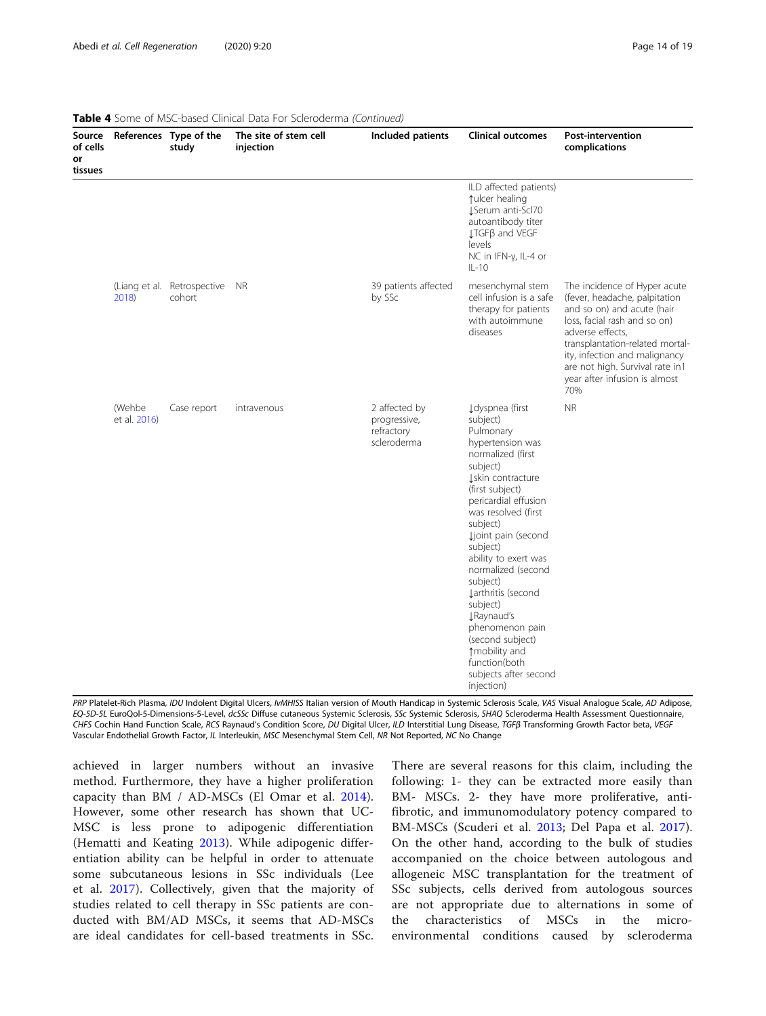| Source<br>of cells<br>or<br>tissues |                               | References Type of the<br>study       | The site of stem cell<br>injection | Included patients                                          | <b>Clinical outcomes</b>                                                                                                                                                                                                                                                                                                                                                                                                                                               | <b>Post-intervention</b><br>complications                                                                                                                                                                                                                                                      |
|-------------------------------------|-------------------------------|---------------------------------------|------------------------------------|------------------------------------------------------------|------------------------------------------------------------------------------------------------------------------------------------------------------------------------------------------------------------------------------------------------------------------------------------------------------------------------------------------------------------------------------------------------------------------------------------------------------------------------|------------------------------------------------------------------------------------------------------------------------------------------------------------------------------------------------------------------------------------------------------------------------------------------------|
|                                     |                               |                                       |                                    |                                                            | ILD affected patients)<br>tulcer healing<br>JSerum anti-Scl70<br>autoantibody titer<br>↓TGFβ and VEGF<br>levels<br>NC in IFN-y, IL-4 or<br>$IL-10$                                                                                                                                                                                                                                                                                                                     |                                                                                                                                                                                                                                                                                                |
|                                     | 2018)                         | (Liang et al. Retrospective<br>cohort | <b>NR</b>                          | 39 patients affected<br>by SSc                             | mesenchymal stem<br>cell infusion is a safe<br>therapy for patients<br>with autoimmune<br>diseases                                                                                                                                                                                                                                                                                                                                                                     | The incidence of Hyper acute<br>(fever, headache, palpitation<br>and so on) and acute (hair<br>loss, facial rash and so on)<br>adverse effects,<br>transplantation-related mortal-<br>ity, infection and malignancy<br>are not high. Survival rate in1<br>year after infusion is almost<br>70% |
|                                     | <i>(Wehbe</i><br>et al. 2016) | Case report                           | intravenous                        | 2 affected by<br>progressive,<br>refractory<br>scleroderma | Į dyspnea (first<br>subject)<br>Pulmonary<br>hypertension was<br>normalized (first<br>subject)<br>Iskin contracture<br>(first subject)<br>pericardial effusion<br>was resolved (first<br>subject)<br>Ljoint pain (second<br>subject)<br>ability to exert was<br>normalized (second<br>subject)<br>Larthritis (second<br>subject)<br><b>J</b> Raynaud's<br>phenomenon pain<br>(second subject)<br>↑mobility and<br>function(both<br>subjects after second<br>injection) | <b>NR</b>                                                                                                                                                                                                                                                                                      |

|  | <b>Table 4</b> Some of MSC-based Clinical Data For Scleroderma (Continued) |  |  |
|--|----------------------------------------------------------------------------|--|--|
|  |                                                                            |  |  |

PRP Platelet-Rich Plasma, IDU Indolent Digital Ulcers, IvMHISS Italian version of Mouth Handicap in Systemic Sclerosis Scale, VAS Visual Analogue Scale, AD Adipose, EQ-5D-5L EuroQol-5-Dimensions-5-Level, dcSSc Diffuse cutaneous Systemic Sclerosis, SSc Systemic Sclerosis, SHAQ Scleroderma Health Assessment Questionnaire, CHFS Cochin Hand Function Scale, RCS Raynaud's Condition Score, DU Digital Ulcer, ILD Interstitial Lung Disease, TGFβ Transforming Growth Factor beta, VEGF Vascular Endothelial Growth Factor, IL Interleukin, MSC Mesenchymal Stem Cell, NR Not Reported, NC No Change

achieved in larger numbers without an invasive method. Furthermore, they have a higher proliferation capacity than BM / AD-MSCs (El Omar et al. [2014](#page-15-0)). However, some other research has shown that UC-MSC is less prone to adipogenic differentiation (Hematti and Keating [2013](#page-16-0)). While adipogenic differentiation ability can be helpful in order to attenuate some subcutaneous lesions in SSc individuals (Lee et al. [2017](#page-16-0)). Collectively, given that the majority of studies related to cell therapy in SSc patients are conducted with BM/AD MSCs, it seems that AD-MSCs are ideal candidates for cell-based treatments in SSc.

There are several reasons for this claim, including the following: 1- they can be extracted more easily than BM- MSCs. 2- they have more proliferative, antifibrotic, and immunomodulatory potency compared to BM-MSCs (Scuderi et al. [2013;](#page-17-0) Del Papa et al. [2017](#page-15-0)). On the other hand, according to the bulk of studies accompanied on the choice between autologous and allogeneic MSC transplantation for the treatment of SSc subjects, cells derived from autologous sources are not appropriate due to alternations in some of the characteristics of MSCs in the microenvironmental conditions caused by scleroderma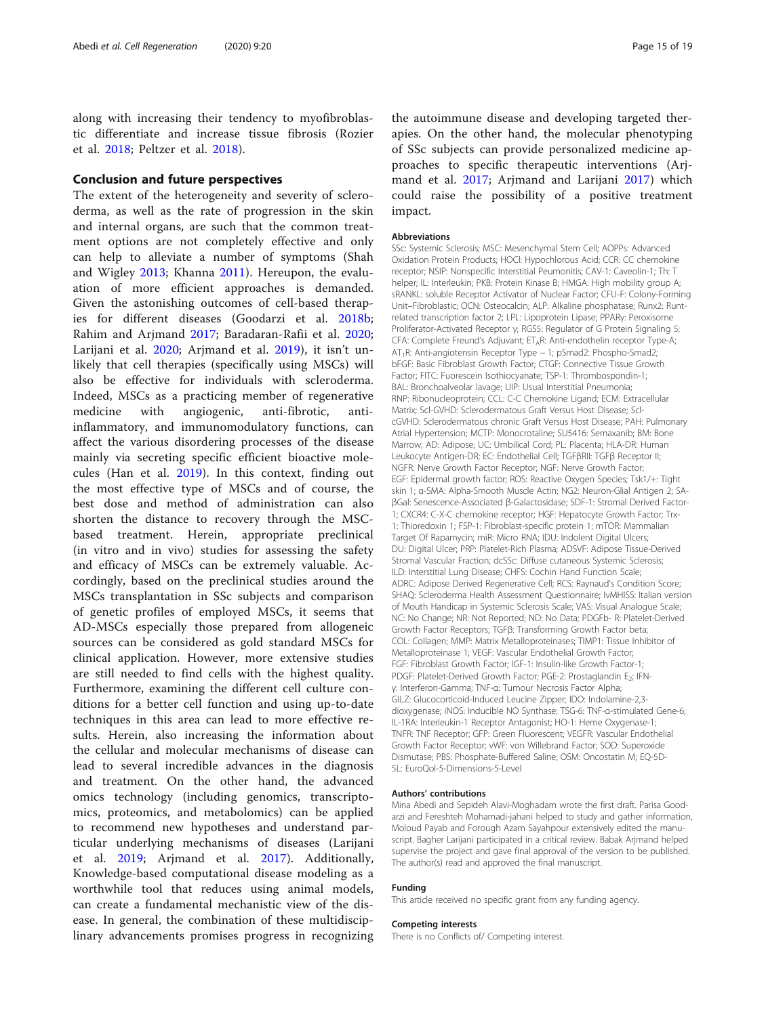<span id="page-14-0"></span>along with increasing their tendency to myofibroblastic differentiate and increase tissue fibrosis (Rozier et al. [2018;](#page-17-0) Peltzer et al. [2018](#page-17-0)).

#### Conclusion and future perspectives

The extent of the heterogeneity and severity of scleroderma, as well as the rate of progression in the skin and internal organs, are such that the common treatment options are not completely effective and only can help to alleviate a number of symptoms (Shah and Wigley [2013;](#page-17-0) Khanna [2011\)](#page-16-0). Hereupon, the evaluation of more efficient approaches is demanded. Given the astonishing outcomes of cell-based therapies for different diseases (Goodarzi et al. [2018b](#page-16-0); Rahim and Arjmand [2017](#page-17-0); Baradaran-Rafii et al. [2020](#page-15-0); Larijani et al. [2020](#page-16-0); Arjmand et al. [2019\)](#page-15-0), it isn't unlikely that cell therapies (specifically using MSCs) will also be effective for individuals with scleroderma. Indeed, MSCs as a practicing member of regenerative medicine with angiogenic, anti-fibrotic, antiinflammatory, and immunomodulatory functions, can affect the various disordering processes of the disease mainly via secreting specific efficient bioactive molecules (Han et al. [2019](#page-16-0)). In this context, finding out the most effective type of MSCs and of course, the best dose and method of administration can also shorten the distance to recovery through the MSCbased treatment. Herein, appropriate preclinical (in vitro and in vivo) studies for assessing the safety and efficacy of MSCs can be extremely valuable. Accordingly, based on the preclinical studies around the MSCs transplantation in SSc subjects and comparison of genetic profiles of employed MSCs, it seems that AD-MSCs especially those prepared from allogeneic sources can be considered as gold standard MSCs for clinical application. However, more extensive studies are still needed to find cells with the highest quality. Furthermore, examining the different cell culture conditions for a better cell function and using up-to-date techniques in this area can lead to more effective results. Herein, also increasing the information about the cellular and molecular mechanisms of disease can lead to several incredible advances in the diagnosis and treatment. On the other hand, the advanced omics technology (including genomics, transcriptomics, proteomics, and metabolomics) can be applied to recommend new hypotheses and understand particular underlying mechanisms of diseases (Larijani et al. [2019](#page-16-0); Arjmand et al. [2017\)](#page-15-0). Additionally, Knowledge-based computational disease modeling as a worthwhile tool that reduces using animal models, can create a fundamental mechanistic view of the disease. In general, the combination of these multidisciplinary advancements promises progress in recognizing

the autoimmune disease and developing targeted therapies. On the other hand, the molecular phenotyping of SSc subjects can provide personalized medicine approaches to specific therapeutic interventions (Arjmand et al. [2017](#page-15-0); Arjmand and Larijani [2017\)](#page-15-0) which could raise the possibility of a positive treatment impact.

#### Abbreviations

SSc: Systemic Sclerosis; MSC: Mesenchymal Stem Cell; AOPPs: Advanced Oxidation Protein Products; HOCl: Hypochlorous Acid; CCR: CC chemokine receptor; NSIP: Nonspecific Interstitial Peumonitis; CAV-1: Caveolin-1; Th: T helper; IL: Interleukin; PKB: Protein Kinase B; HMGA: High mobility group A; sRANKL: soluble Receptor Activator of Nuclear Factor; CFU-F: Colony-Forming Unit–Fibroblastic; OCN: Osteocalcin; ALP: Alkaline phosphatase; Runx2: Runtrelated transcription factor 2; LPL: Lipoprotein Lipase; PPARγ: Peroxisome Proliferator-Activated Receptor γ; RGS5: Regulator of G Protein Signaling 5; CFA: Complete Freund's Adjuvant; ET<sub>A</sub>R: Anti-endothelin receptor Type-A; AT1R: Anti-angiotensin Receptor Type − 1; pSmad2: Phospho-Smad2; bFGF: Basic Fibroblast Growth Factor; CTGF: Connective Tissue Growth Factor; FITC: Fuorescein Isothiocyanate; TSP-1: Thrombospondin-1; BAL: Bronchoalveolar lavage; UIP: Usual Interstitial Pneumonia; RNP: Ribonucleoprotein; CCL: C-C Chemokine Ligand; ECM: Extracellular Matrix; Scl-GVHD: Sclerodermatous Graft Versus Host Disease; SclcGVHD: Sclerodermatous chronic Graft Versus Host Disease; PAH: Pulmonary Atrial Hypertension; MCTP: Monocrotaline; SU5416: Semaxanib; BM: Bone Marrow; AD: Adipose; UC: Umbilical Cord; PL: Placenta; HLA-DR: Human Leukocyte Antigen-DR; EC: Endothelial Cell; TGFβRII: TGFβ Receptor II; NGFR: Nerve Growth Factor Receptor; NGF: Nerve Growth Factor; EGF: Epidermal growth factor; ROS: Reactive Oxygen Species; Tsk1/+: Tight skin 1; α-SMA: Alpha-Smooth Muscle Actin; NG2: Neuron-Glial Antigen 2; SAβGal: Senescence-Associated β-Galactosidase; SDF-1: Stromal Derived Factor-1; CXCR4: C-X-C chemokine receptor; HGF: Hepatocyte Growth Factor; Trx-1: Thioredoxin 1; FSP-1: Fibroblast-specific protein 1; mTOR: Mammalian Target Of Rapamycin; miR: Micro RNA; IDU: Indolent Digital Ulcers; DU: Digital Ulcer; PRP: Platelet-Rich Plasma; ADSVF: Adipose Tissue-Derived Stromal Vascular Fraction; dcSSc: Diffuse cutaneous Systemic Sclerosis; ILD: Interstitial Lung Disease; CHFS: Cochin Hand Function Scale; ADRC: Adipose Derived Regenerative Cell; RCS: Raynaud's Condition Score; SHAQ: Scleroderma Health Assessment Questionnaire; IvMHISS: Italian version of Mouth Handicap in Systemic Sclerosis Scale; VAS: Visual Analogue Scale; NC: No Change; NR: Not Reported; ND: No Data; PDGFb- R: Platelet-Derived Growth Factor Receptors; TGFβ: Transforming Growth Factor beta; COL: Collagen; MMP: Matrix Metalloproteinases; TIMP1: Tissue Inhibitor of Metalloproteinase 1; VEGF: Vascular Endothelial Growth Factor; FGF: Fibroblast Growth Factor; IGF-1: Insulin-like Growth Factor-1; PDGF: Platelet-Derived Growth Factor; PGE-2: Prostaglandin E<sub>2</sub>; IFNγ: Interferon-Gamma; TNF-α: Tumour Necrosis Factor Alpha; GILZ: Glucocorticoid-Induced Leucine Zipper; IDO: Indolamine-2,3 dioxygenase; iNOS: Inducible NO Synthase; TSG-6: TNF-α-stimulated Gene-6; IL-1RA: Interleukin-1 Receptor Antagonist; HO-1: Heme Oxygenase-1; TNFR: TNF Receptor; GFP: Green Fluorescent; VEGFR: Vascular Endothelial Growth Factor Receptor; vWF: von Willebrand Factor; SOD: Superoxide Dismutase; PBS: Phosphate-Buffered Saline; OSM: Oncostatin M; EQ-5D-5L: EuroQol-5-Dimensions-5-Level

#### Authors' contributions

Mina Abedi and Sepideh Alavi-Moghadam wrote the first draft. Parisa Goodarzi and Fereshteh Mohamadi-jahani helped to study and gather information, Moloud Payab and Forough Azam Sayahpour extensively edited the manuscript. Bagher Larijani participated in a critical review. Babak Arjmand helped supervise the project and gave final approval of the version to be published. The author(s) read and approved the final manuscript.

#### Funding

This article received no specific grant from any funding agency.

#### Competing interests

There is no Conflicts of/ Competing interest.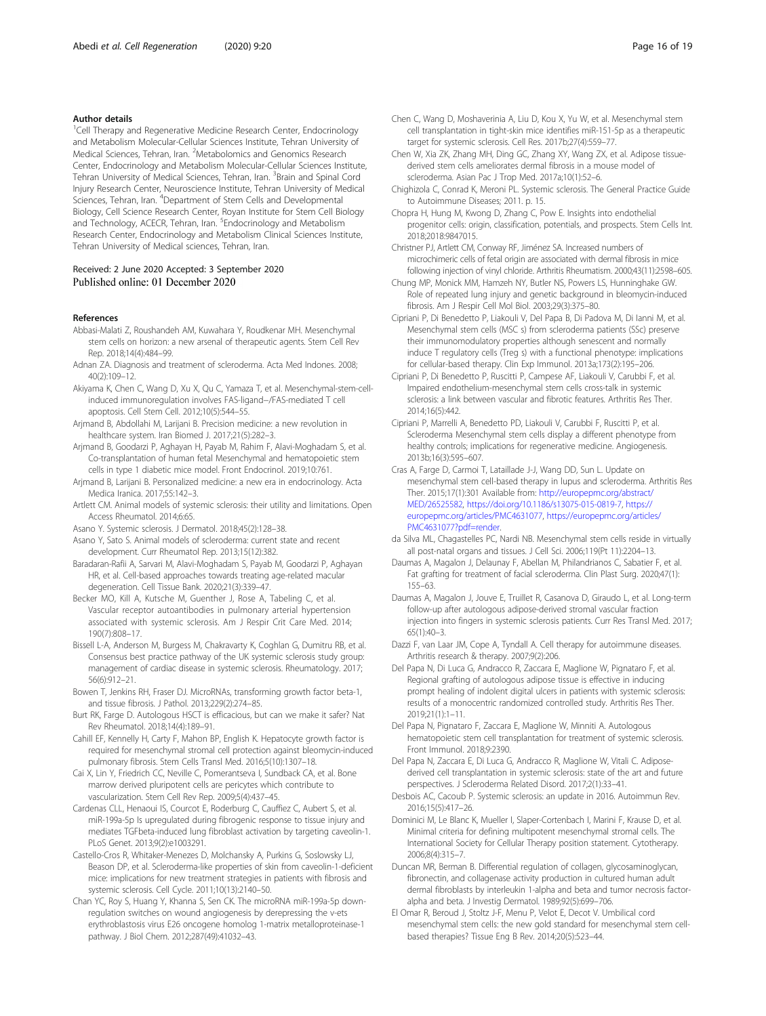#### <span id="page-15-0"></span>Author details

<sup>1</sup>Cell Therapy and Regenerative Medicine Research Center, Endocrinology and Metabolism Molecular-Cellular Sciences Institute, Tehran University of Medical Sciences, Tehran, Iran. <sup>2</sup>Metabolomics and Genomics Research Center, Endocrinology and Metabolism Molecular-Cellular Sciences Institute, Tehran University of Medical Sciences, Tehran, Iran. <sup>3</sup>Brain and Spinal Cord Injury Research Center, Neuroscience Institute, Tehran University of Medical Sciences, Tehran, Iran. <sup>4</sup>Department of Stem Cells and Developmental Biology, Cell Science Research Center, Royan Institute for Stem Cell Biology and Technology, ACECR, Tehran, Iran. <sup>5</sup>Endocrinology and Metabolism Research Center, Endocrinology and Metabolism Clinical Sciences Institute, Tehran University of Medical sciences, Tehran, Iran.

#### Received: 2 June 2020 Accepted: 3 September 2020 Published online: 01 December 2020

#### References

- Abbasi-Malati Z, Roushandeh AM, Kuwahara Y, Roudkenar MH. Mesenchymal stem cells on horizon: a new arsenal of therapeutic agents. Stem Cell Rev Rep. 2018;14(4):484–99.
- Adnan ZA. Diagnosis and treatment of scleroderma. Acta Med Indones. 2008; 40(2):109–12.
- Akiyama K, Chen C, Wang D, Xu X, Qu C, Yamaza T, et al. Mesenchymal-stem-cellinduced immunoregulation involves FAS-ligand−/FAS-mediated T cell apoptosis. Cell Stem Cell. 2012;10(5):544–55.
- Arjmand B, Abdollahi M, Larijani B. Precision medicine: a new revolution in healthcare system. Iran Biomed J. 2017;21(5):282–3.
- Arjmand B, Goodarzi P, Aghayan H, Payab M, Rahim F, Alavi-Moghadam S, et al. Co-transplantation of human fetal Mesenchymal and hematopoietic stem cells in type 1 diabetic mice model. Front Endocrinol. 2019;10:761.
- Arjmand B, Larijani B. Personalized medicine: a new era in endocrinology. Acta Medica Iranica. 2017;55:142–3.
- Artlett CM. Animal models of systemic sclerosis: their utility and limitations. Open Access Rheumatol. 2014;6:65.
- Asano Y. Systemic sclerosis. J Dermatol. 2018;45(2):128–38.
- Asano Y, Sato S. Animal models of scleroderma: current state and recent development. Curr Rheumatol Rep. 2013;15(12):382.
- Baradaran-Rafii A, Sarvari M, Alavi-Moghadam S, Payab M, Goodarzi P, Aghayan HR, et al. Cell-based approaches towards treating age-related macular degeneration. Cell Tissue Bank. 2020;21(3):339–47.
- Becker MO, Kill A, Kutsche M, Guenther J, Rose A, Tabeling C, et al. Vascular receptor autoantibodies in pulmonary arterial hypertension associated with systemic sclerosis. Am J Respir Crit Care Med. 2014; 190(7):808–17.
- Bissell L-A, Anderson M, Burgess M, Chakravarty K, Coghlan G, Dumitru RB, et al. Consensus best practice pathway of the UK systemic sclerosis study group: management of cardiac disease in systemic sclerosis. Rheumatology. 2017; 56(6):912–21.
- Bowen T, Jenkins RH, Fraser DJ. MicroRNAs, transforming growth factor beta-1, and tissue fibrosis. J Pathol. 2013;229(2):274–85.
- Burt RK, Farge D. Autologous HSCT is efficacious, but can we make it safer? Nat Rev Rheumatol. 2018;14(4):189–91.
- Cahill EF, Kennelly H, Carty F, Mahon BP, English K. Hepatocyte growth factor is required for mesenchymal stromal cell protection against bleomycin-induced pulmonary fibrosis. Stem Cells Transl Med. 2016;5(10):1307–18.
- Cai X, Lin Y, Friedrich CC, Neville C, Pomerantseva I, Sundback CA, et al. Bone marrow derived pluripotent cells are pericytes which contribute to vascularization. Stem Cell Rev Rep. 2009;5(4):437–45.
- Cardenas CLL, Henaoui IS, Courcot E, Roderburg C, Cauffiez C, Aubert S, et al. miR-199a-5p Is upregulated during fibrogenic response to tissue injury and mediates TGFbeta-induced lung fibroblast activation by targeting caveolin-1. PLoS Genet. 2013;9(2):e1003291.
- Castello-Cros R, Whitaker-Menezes D, Molchansky A, Purkins G, Soslowsky LJ, Beason DP, et al. Scleroderma-like properties of skin from caveolin-1-deficient mice: implications for new treatment strategies in patients with fibrosis and systemic sclerosis. Cell Cycle. 2011;10(13):2140–50.
- Chan YC, Roy S, Huang Y, Khanna S, Sen CK. The microRNA miR-199a-5p downregulation switches on wound angiogenesis by derepressing the v-ets erythroblastosis virus E26 oncogene homolog 1-matrix metalloproteinase-1 pathway. J Biol Chem. 2012;287(49):41032–43.
- Chen C, Wang D, Moshaverinia A, Liu D, Kou X, Yu W, et al. Mesenchymal stem cell transplantation in tight-skin mice identifies miR-151-5p as a therapeutic target for systemic sclerosis. Cell Res. 2017b;27(4):559–77.
- Chen W, Xia ZK, Zhang MH, Ding GC, Zhang XY, Wang ZX, et al. Adipose tissuederived stem cells ameliorates dermal fibrosis in a mouse model of scleroderma. Asian Pac J Trop Med. 2017a;10(1):52–6.
- Chighizola C, Conrad K, Meroni PL. Systemic sclerosis. The General Practice Guide to Autoimmune Diseases; 2011. p. 15.
- Chopra H, Hung M, Kwong D, Zhang C, Pow E. Insights into endothelial progenitor cells: origin, classification, potentials, and prospects. Stem Cells Int. 2018;2018:9847015.
- Christner PJ, Artlett CM, Conway RF, Jiménez SA. Increased numbers of microchimeric cells of fetal origin are associated with dermal fibrosis in mice following injection of vinyl chloride. Arthritis Rheumatism. 2000;43(11):2598–605.
- Chung MP, Monick MM, Hamzeh NY, Butler NS, Powers LS, Hunninghake GW. Role of repeated lung injury and genetic background in bleomycin-induced fibrosis. Am J Respir Cell Mol Biol. 2003;29(3):375–80.
- Cipriani P, Di Benedetto P, Liakouli V, Del Papa B, Di Padova M, Di Ianni M, et al. Mesenchymal stem cells (MSC s) from scleroderma patients (SSc) preserve their immunomodulatory properties although senescent and normally induce T regulatory cells (Treg s) with a functional phenotype: implications for cellular-based therapy. Clin Exp Immunol. 2013a;173(2):195–206.
- Cipriani P, Di Benedetto P, Ruscitti P, Campese AF, Liakouli V, Carubbi F, et al. Impaired endothelium-mesenchymal stem cells cross-talk in systemic sclerosis: a link between vascular and fibrotic features. Arthritis Res Ther. 2014;16(5):442.
- Cipriani P, Marrelli A, Benedetto PD, Liakouli V, Carubbi F, Ruscitti P, et al. Scleroderma Mesenchymal stem cells display a different phenotype from healthy controls; implications for regenerative medicine. Angiogenesis. 2013b;16(3):595–607.
- Cras A, Farge D, Carmoi T, Lataillade J-J, Wang DD, Sun L. Update on mesenchymal stem cell-based therapy in lupus and scleroderma. Arthritis Res Ther. 2015;17(1):301 Available from: [http://europepmc.org/abstract/](http://europepmc.org/abstract/MED/26525582) [MED/26525582,](http://europepmc.org/abstract/MED/26525582) [https://doi.org/10.1186/s13075-015-0819-7,](https://doi.org/10.1186/s13075-015-0819-7) [https://](https://europepmc.org/articles/PMC4631077) [europepmc.org/articles/PMC4631077](https://europepmc.org/articles/PMC4631077), [https://europepmc.org/articles/](https://europepmc.org/articles/PMC4631077?pdf=render) [PMC4631077?pdf=render.](https://europepmc.org/articles/PMC4631077?pdf=render)
- da Silva ML, Chagastelles PC, Nardi NB. Mesenchymal stem cells reside in virtually all post-natal organs and tissues. J Cell Sci. 2006;119(Pt 11):2204–13.
- Daumas A, Magalon J, Delaunay F, Abellan M, Philandrianos C, Sabatier F, et al. Fat grafting for treatment of facial scleroderma. Clin Plast Surg. 2020;47(1): 155–63.
- Daumas A, Magalon J, Jouve E, Truillet R, Casanova D, Giraudo L, et al. Long-term follow-up after autologous adipose-derived stromal vascular fraction injection into fingers in systemic sclerosis patients. Curr Res Transl Med. 2017; 65(1):40–3.
- Dazzi F, van Laar JM, Cope A, Tyndall A. Cell therapy for autoimmune diseases. Arthritis research & therapy. 2007;9(2):206.
- Del Papa N, Di Luca G, Andracco R, Zaccara E, Maglione W, Pignataro F, et al. Regional grafting of autologous adipose tissue is effective in inducing prompt healing of indolent digital ulcers in patients with systemic sclerosis: results of a monocentric randomized controlled study. Arthritis Res Ther. 2019;21(1):1–11.
- Del Papa N, Pignataro F, Zaccara E, Maglione W, Minniti A. Autologous hematopoietic stem cell transplantation for treatment of systemic sclerosis. Front Immunol. 2018;9:2390.
- Del Papa N, Zaccara E, Di Luca G, Andracco R, Maglione W, Vitali C. Adiposederived cell transplantation in systemic sclerosis: state of the art and future perspectives. J Scleroderma Related Disord. 2017;2(1):33–41.
- Desbois AC, Cacoub P. Systemic sclerosis: an update in 2016. Autoimmun Rev. 2016;15(5):417–26.
- Dominici M, Le Blanc K, Mueller I, Slaper-Cortenbach I, Marini F, Krause D, et al. Minimal criteria for defining multipotent mesenchymal stromal cells. The International Society for Cellular Therapy position statement. Cytotherapy. 2006;8(4):315–7.
- Duncan MR, Berman B. Differential regulation of collagen, glycosaminoglycan, fibronectin, and collagenase activity production in cultured human adult dermal fibroblasts by interleukin 1-alpha and beta and tumor necrosis factoralpha and beta. J Investig Dermatol. 1989;92(5):699–706.
- El Omar R, Beroud J, Stoltz J-F, Menu P, Velot E, Decot V. Umbilical cord mesenchymal stem cells: the new gold standard for mesenchymal stem cellbased therapies? Tissue Eng B Rev. 2014;20(5):523–44.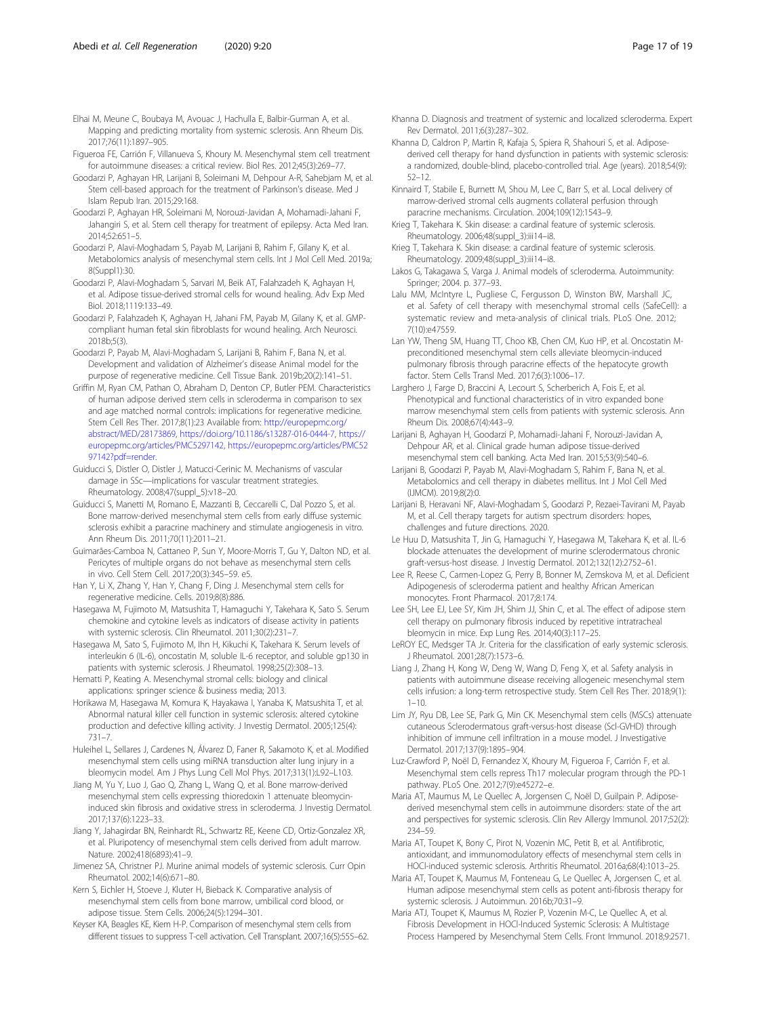- <span id="page-16-0"></span>Figueroa FE, Carrión F, Villanueva S, Khoury M. Mesenchymal stem cell treatment for autoimmune diseases: a critical review. Biol Res. 2012;45(3):269–77.
- Goodarzi P, Aghayan HR, Larijani B, Soleimani M, Dehpour A-R, Sahebjam M, et al. Stem cell-based approach for the treatment of Parkinson's disease. Med J Islam Repub Iran. 2015;29:168.
- Goodarzi P, Aghayan HR, Soleimani M, Norouzi-Javidan A, Mohamadi-Jahani F, Jahangiri S, et al. Stem cell therapy for treatment of epilepsy. Acta Med Iran. 2014;52:651–5.
- Goodarzi P, Alavi-Moghadam S, Payab M, Larijani B, Rahim F, Gilany K, et al. Metabolomics analysis of mesenchymal stem cells. Int J Mol Cell Med. 2019a; 8(Suppl1):30.
- Goodarzi P, Alavi-Moghadam S, Sarvari M, Beik AT, Falahzadeh K, Aghayan H, et al. Adipose tissue-derived stromal cells for wound healing. Adv Exp Med Biol. 2018;1119:133–49.
- Goodarzi P, Falahzadeh K, Aghayan H, Jahani FM, Payab M, Gilany K, et al. GMPcompliant human fetal skin fibroblasts for wound healing. Arch Neurosci. 2018b;5(3).
- Goodarzi P, Payab M, Alavi-Moghadam S, Larijani B, Rahim F, Bana N, et al. Development and validation of Alzheimer's disease Animal model for the purpose of regenerative medicine. Cell Tissue Bank. 2019b;20(2):141–51.
- Griffin M, Ryan CM, Pathan O, Abraham D, Denton CP, Butler PEM. Characteristics of human adipose derived stem cells in scleroderma in comparison to sex and age matched normal controls: implications for regenerative medicine. Stem Cell Res Ther. 2017;8(1):23 Available from: [http://europepmc.org/](http://europepmc.org/abstract/MED/28173869) [abstract/MED/28173869,](http://europepmc.org/abstract/MED/28173869) <https://doi.org/10.1186/s13287-016-0444-7>, [https://](https://europepmc.org/articles/PMC5297142) [europepmc.org/articles/PMC5297142,](https://europepmc.org/articles/PMC5297142) [https://europepmc.org/articles/PMC52](https://europepmc.org/articles/PMC5297142?pdf=render) [97142?pdf=render.](https://europepmc.org/articles/PMC5297142?pdf=render)
- Guiducci S, Distler O, Distler J, Matucci-Cerinic M. Mechanisms of vascular damage in SSc—implications for vascular treatment strategies. Rheumatology. 2008;47(suppl\_5):v18–20.
- Guiducci S, Manetti M, Romano E, Mazzanti B, Ceccarelli C, Dal Pozzo S, et al. Bone marrow-derived mesenchymal stem cells from early diffuse systemic sclerosis exhibit a paracrine machinery and stimulate angiogenesis in vitro. Ann Rheum Dis. 2011;70(11):2011–21.
- Guimarães-Camboa N, Cattaneo P, Sun Y, Moore-Morris T, Gu Y, Dalton ND, et al. Pericytes of multiple organs do not behave as mesenchymal stem cells in vivo. Cell Stem Cell. 2017;20(3):345–59. e5.
- Han Y, Li X, Zhang Y, Han Y, Chang F, Ding J. Mesenchymal stem cells for regenerative medicine. Cells. 2019;8(8):886.
- Hasegawa M, Fujimoto M, Matsushita T, Hamaguchi Y, Takehara K, Sato S. Serum chemokine and cytokine levels as indicators of disease activity in patients with systemic sclerosis. Clin Rheumatol. 2011;30(2):231–7.
- Hasegawa M, Sato S, Fujimoto M, Ihn H, Kikuchi K, Takehara K. Serum levels of interleukin 6 (IL-6), oncostatin M, soluble IL-6 receptor, and soluble gp130 in patients with systemic sclerosis. J Rheumatol. 1998;25(2):308–13.
- Hematti P, Keating A. Mesenchymal stromal cells: biology and clinical applications: springer science & business media; 2013.
- Horikawa M, Hasegawa M, Komura K, Hayakawa I, Yanaba K, Matsushita T, et al. Abnormal natural killer cell function in systemic sclerosis: altered cytokine production and defective killing activity. J Investig Dermatol. 2005;125(4): 731–7.
- Huleihel L, Sellares J, Cardenes N, Álvarez D, Faner R, Sakamoto K, et al. Modified mesenchymal stem cells using miRNA transduction alter lung injury in a bleomycin model. Am J Phys Lung Cell Mol Phys. 2017;313(1):L92–L103.
- Jiang M, Yu Y, Luo J, Gao Q, Zhang L, Wang Q, et al. Bone marrow-derived mesenchymal stem cells expressing thioredoxin 1 attenuate bleomycininduced skin fibrosis and oxidative stress in scleroderma. J Investig Dermatol. 2017;137(6):1223–33.
- Jiang Y, Jahagirdar BN, Reinhardt RL, Schwartz RE, Keene CD, Ortiz-Gonzalez XR, et al. Pluripotency of mesenchymal stem cells derived from adult marrow. Nature. 2002;418(6893):41–9.
- Jimenez SA, Christner PJ. Murine animal models of systemic sclerosis. Curr Opin Rheumatol. 2002;14(6):671–80.
- Kern S, Eichler H, Stoeve J, Kluter H, Bieback K. Comparative analysis of mesenchymal stem cells from bone marrow, umbilical cord blood, or adipose tissue. Stem Cells. 2006;24(5):1294–301.
- Keyser KA, Beagles KE, Kiem H-P. Comparison of mesenchymal stem cells from different tissues to suppress T-cell activation. Cell Transplant. 2007;16(5):555–62.
- Khanna D. Diagnosis and treatment of systemic and localized scleroderma. Expert Rev Dermatol. 2011;6(3):287–302.
- Khanna D, Caldron P, Martin R, Kafaja S, Spiera R, Shahouri S, et al. Adiposederived cell therapy for hand dysfunction in patients with systemic sclerosis: a randomized, double-blind, placebo-controlled trial. Age (years). 2018;54(9): 52–12.
- Kinnaird T, Stabile E, Burnett M, Shou M, Lee C, Barr S, et al. Local delivery of marrow-derived stromal cells augments collateral perfusion through paracrine mechanisms. Circulation. 2004;109(12):1543–9.
- Krieg T, Takehara K. Skin disease: a cardinal feature of systemic sclerosis. Rheumatology. 2006;48(suppl\_3):iii14–i8.
- Krieg T, Takehara K. Skin disease: a cardinal feature of systemic sclerosis. Rheumatology. 2009;48(suppl\_3):iii14–i8.
- Lakos G, Takagawa S, Varga J. Animal models of scleroderma. Autoimmunity: Springer; 2004. p. 377–93.
- Lalu MM, McIntyre L, Pugliese C, Fergusson D, Winston BW, Marshall JC, et al. Safety of cell therapy with mesenchymal stromal cells (SafeCell): a systematic review and meta-analysis of clinical trials. PLoS One. 2012; 7(10):e47559.
- Lan YW, Theng SM, Huang TT, Choo KB, Chen CM, Kuo HP, et al. Oncostatin Mpreconditioned mesenchymal stem cells alleviate bleomycin-induced pulmonary fibrosis through paracrine effects of the hepatocyte growth factor. Stem Cells Transl Med. 2017;6(3):1006–17.
- Larghero J, Farge D, Braccini A, Lecourt S, Scherberich A, Fois E, et al. Phenotypical and functional characteristics of in vitro expanded bone marrow mesenchymal stem cells from patients with systemic sclerosis. Ann Rheum Dis. 2008;67(4):443–9.
- Larijani B, Aghayan H, Goodarzi P, Mohamadi-Jahani F, Norouzi-Javidan A, Dehpour AR, et al. Clinical grade human adipose tissue-derived mesenchymal stem cell banking. Acta Med Iran. 2015;53(9):540–6.
- Larijani B, Goodarzi P, Payab M, Alavi-Moghadam S, Rahim F, Bana N, et al. Metabolomics and cell therapy in diabetes mellitus. Int J Mol Cell Med (IJMCM). 2019;8(2):0.
- Larijani B, Heravani NF, Alavi-Moghadam S, Goodarzi P, Rezaei-Tavirani M, Payab M, et al. Cell therapy targets for autism spectrum disorders: hopes, challenges and future directions. 2020.
- Le Huu D, Matsushita T, Jin G, Hamaguchi Y, Hasegawa M, Takehara K, et al. IL-6 blockade attenuates the development of murine sclerodermatous chronic graft-versus-host disease. J Investig Dermatol. 2012;132(12):2752–61.
- Lee R, Reese C, Carmen-Lopez G, Perry B, Bonner M, Zemskova M, et al. Deficient Adipogenesis of scleroderma patient and healthy African American monocytes. Front Pharmacol. 2017;8:174.
- Lee SH, Lee EJ, Lee SY, Kim JH, Shim JJ, Shin C, et al. The effect of adipose stem cell therapy on pulmonary fibrosis induced by repetitive intratracheal bleomycin in mice. Exp Lung Res. 2014;40(3):117–25.
- LeROY EC, Medsger TA Jr. Criteria for the classification of early systemic sclerosis. J Rheumatol. 2001;28(7):1573–6.
- Liang J, Zhang H, Kong W, Deng W, Wang D, Feng X, et al. Safety analysis in patients with autoimmune disease receiving allogeneic mesenchymal stem cells infusion: a long-term retrospective study. Stem Cell Res Ther. 2018;9(1):  $1 - 10$
- Lim JY, Ryu DB, Lee SE, Park G, Min CK. Mesenchymal stem cells (MSCs) attenuate cutaneous Sclerodermatous graft-versus-host disease (Scl-GVHD) through inhibition of immune cell infiltration in a mouse model. J Investigative Dermatol. 2017;137(9):1895–904.
- Luz-Crawford P, Noël D, Fernandez X, Khoury M, Figueroa F, Carrión F, et al. Mesenchymal stem cells repress Th17 molecular program through the PD-1 pathway. PLoS One. 2012;7(9):e45272–e.
- Maria AT, Maumus M, Le Quellec A, Jorgensen C, Noël D, Guilpain P. Adiposederived mesenchymal stem cells in autoimmune disorders: state of the art and perspectives for systemic sclerosis. Clin Rev Allergy Immunol. 2017;52(2): 234–59.
- Maria AT, Toupet K, Bony C, Pirot N, Vozenin MC, Petit B, et al. Antifibrotic, antioxidant, and immunomodulatory effects of mesenchymal stem cells in HOCl-induced systemic sclerosis. Arthritis Rheumatol. 2016a;68(4):1013–25.
- Maria AT, Toupet K, Maumus M, Fonteneau G, Le Quellec A, Jorgensen C, et al. Human adipose mesenchymal stem cells as potent anti-fibrosis therapy for systemic sclerosis. J Autoimmun. 2016b;70:31–9.
- Maria ATJ, Toupet K, Maumus M, Rozier P, Vozenin M-C, Le Quellec A, et al. Fibrosis Development in HOCl-Induced Systemic Sclerosis: A Multistage Process Hampered by Mesenchymal Stem Cells. Front Immunol. 2018;9:2571.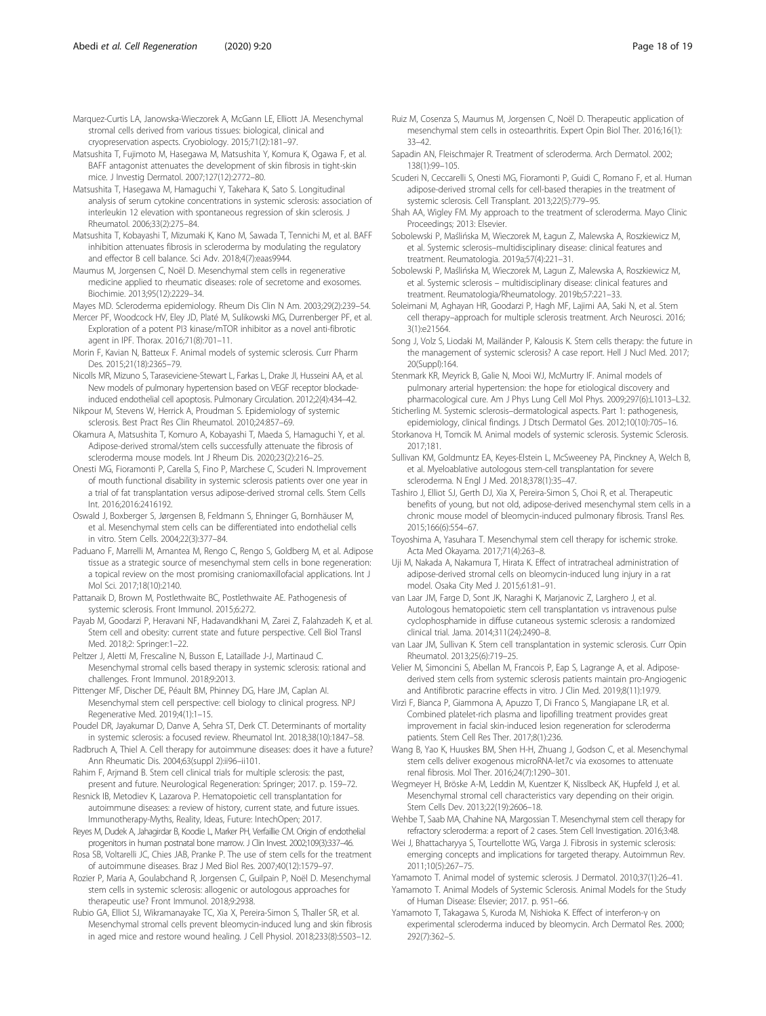<span id="page-17-0"></span>Marquez-Curtis LA, Janowska-Wieczorek A, McGann LE, Elliott JA. Mesenchymal stromal cells derived from various tissues: biological, clinical and cryopreservation aspects. Cryobiology. 2015;71(2):181–97.

Matsushita T, Fujimoto M, Hasegawa M, Matsushita Y, Komura K, Ogawa F, et al. BAFF antagonist attenuates the development of skin fibrosis in tight-skin mice. J Investig Dermatol. 2007;127(12):2772–80.

- Matsushita T, Hasegawa M, Hamaguchi Y, Takehara K, Sato S. Longitudinal analysis of serum cytokine concentrations in systemic sclerosis: association of interleukin 12 elevation with spontaneous regression of skin sclerosis. J Rheumatol. 2006;33(2):275–84.
- Matsushita T, Kobayashi T, Mizumaki K, Kano M, Sawada T, Tennichi M, et al. BAFF inhibition attenuates fibrosis in scleroderma by modulating the regulatory and effector B cell balance. Sci Adv. 2018;4(7):eaas9944.

Maumus M, Jorgensen C, Noël D. Mesenchymal stem cells in regenerative medicine applied to rheumatic diseases: role of secretome and exosomes. Biochimie. 2013;95(12):2229–34.

Mayes MD. Scleroderma epidemiology. Rheum Dis Clin N Am. 2003;29(2):239–54.

Mercer PF, Woodcock HV, Eley JD, Platé M, Sulikowski MG, Durrenberger PF, et al. Exploration of a potent PI3 kinase/mTOR inhibitor as a novel anti-fibrotic agent in IPF. Thorax. 2016;71(8):701–11.

Morin F, Kavian N, Batteux F. Animal models of systemic sclerosis. Curr Pharm Des. 2015;21(18):2365–79.

Nicolls MR, Mizuno S, Taraseviciene-Stewart L, Farkas L, Drake JI, Husseini AA, et al. New models of pulmonary hypertension based on VEGF receptor blockadeinduced endothelial cell apoptosis. Pulmonary Circulation. 2012;2(4):434–42.

Nikpour M, Stevens W, Herrick A, Proudman S. Epidemiology of systemic sclerosis. Best Pract Res Clin Rheumatol. 2010;24:857–69.

Okamura A, Matsushita T, Komuro A, Kobayashi T, Maeda S, Hamaguchi Y, et al. Adipose-derived stromal/stem cells successfully attenuate the fibrosis of scleroderma mouse models. Int J Rheum Dis. 2020;23(2):216–25.

Onesti MG, Fioramonti P, Carella S, Fino P, Marchese C, Scuderi N. Improvement of mouth functional disability in systemic sclerosis patients over one year in a trial of fat transplantation versus adipose-derived stromal cells. Stem Cells Int. 2016;2016:2416192.

Oswald J, Boxberger S, Jørgensen B, Feldmann S, Ehninger G, Bornhäuser M, et al. Mesenchymal stem cells can be differentiated into endothelial cells in vitro. Stem Cells. 2004;22(3):377–84.

Paduano F, Marrelli M, Amantea M, Rengo C, Rengo S, Goldberg M, et al. Adipose tissue as a strategic source of mesenchymal stem cells in bone regeneration: a topical review on the most promising craniomaxillofacial applications. Int J Mol Sci. 2017;18(10):2140.

Pattanaik D, Brown M, Postlethwaite BC, Postlethwaite AE. Pathogenesis of systemic sclerosis. Front Immunol. 2015;6:272.

Payab M, Goodarzi P, Heravani NF, Hadavandkhani M, Zarei Z, Falahzadeh K, et al. Stem cell and obesity: current state and future perspective. Cell Biol Transl Med. 2018;2: Springer:1–22.

Peltzer J, Aletti M, Frescaline N, Busson E, Lataillade J-J, Martinaud C. Mesenchymal stromal cells based therapy in systemic sclerosis: rational and challenges. Front Immunol. 2018;9:2013.

Pittenger MF, Discher DE, Péault BM, Phinney DG, Hare JM, Caplan AI. Mesenchymal stem cell perspective: cell biology to clinical progress. NPJ Regenerative Med. 2019;4(1):1–15.

Poudel DR, Jayakumar D, Danve A, Sehra ST, Derk CT. Determinants of mortality in systemic sclerosis: a focused review. Rheumatol Int. 2018;38(10):1847–58.

Radbruch A, Thiel A. Cell therapy for autoimmune diseases: does it have a future? Ann Rheumatic Dis. 2004;63(suppl 2):ii96–ii101.

Rahim F, Arjmand B. Stem cell clinical trials for multiple sclerosis: the past, present and future. Neurological Regeneration: Springer; 2017. p. 159–72.

Resnick IB, Metodiev K, Lazarova P. Hematopoietic cell transplantation for autoimmune diseases: a review of history, current state, and future issues. Immunotherapy-Myths, Reality, Ideas, Future: IntechOpen; 2017.

Reyes M, Dudek A, Jahagirdar B, Koodie L, Marker PH, Verfaillie CM. Origin of endothelial progenitors in human postnatal bone marrow. J Clin Invest. 2002;109(3):337–46.

Rosa SB, Voltarelli JC, Chies JAB, Pranke P. The use of stem cells for the treatment of autoimmune diseases. Braz J Med Biol Res. 2007;40(12):1579–97.

Rozier P, Maria A, Goulabchand R, Jorgensen C, Guilpain P, Noël D. Mesenchymal stem cells in systemic sclerosis: allogenic or autologous approaches for therapeutic use? Front Immunol. 2018;9:2938.

Rubio GA, Elliot SJ, Wikramanayake TC, Xia X, Pereira-Simon S, Thaller SR, et al. Mesenchymal stromal cells prevent bleomycin-induced lung and skin fibrosis in aged mice and restore wound healing. J Cell Physiol. 2018;233(8):5503–12.

- Ruiz M, Cosenza S, Maumus M, Jorgensen C, Noël D. Therapeutic application of mesenchymal stem cells in osteoarthritis. Expert Opin Biol Ther. 2016;16(1): 33–42.
- Sapadin AN, Fleischmajer R. Treatment of scleroderma. Arch Dermatol. 2002; 138(1):99–105.
- Scuderi N, Ceccarelli S, Onesti MG, Fioramonti P, Guidi C, Romano F, et al. Human adipose-derived stromal cells for cell-based therapies in the treatment of systemic sclerosis. Cell Transplant. 2013;22(5):779–95.
- Shah AA, Wigley FM. My approach to the treatment of scleroderma. Mayo Clinic Proceedings; 2013: Elsevier.

Sobolewski P, Maślińska M, Wieczorek M, Łagun Z, Malewska A, Roszkiewicz M, et al. Systemic sclerosis–multidisciplinary disease: clinical features and treatment. Reumatologia. 2019a;57(4):221–31.

Sobolewski P, Maślińska M, Wieczorek M, Lagun Z, Malewska A, Roszkiewicz M, et al. Systemic sclerosis – multidisciplinary disease: clinical features and treatment. Reumatologia/Rheumatology. 2019b;57:221–33.

Soleimani M, Aghayan HR, Goodarzi P, Hagh MF, Lajimi AA, Saki N, et al. Stem cell therapy–approach for multiple sclerosis treatment. Arch Neurosci. 2016; 3(1):e21564.

Song J, Volz S, Liodaki M, Mailänder P, Kalousis K. Stem cells therapy: the future in the management of systemic sclerosis? A case report. Hell J Nucl Med. 2017; 20(Suppl):164.

Stenmark KR, Meyrick B, Galie N, Mooi WJ, McMurtry IF. Animal models of pulmonary arterial hypertension: the hope for etiological discovery and pharmacological cure. Am J Phys Lung Cell Mol Phys. 2009;297(6):L1013–L32.

Sticherling M. Systemic sclerosis–dermatological aspects. Part 1: pathogenesis, epidemiology, clinical findings. J Dtsch Dermatol Ges. 2012;10(10):705–16.

Storkanova H, Tomcik M. Animal models of systemic sclerosis. Systemic Sclerosis. 2017;181.

Sullivan KM, Goldmuntz EA, Keyes-Elstein L, McSweeney PA, Pinckney A, Welch B, et al. Myeloablative autologous stem-cell transplantation for severe scleroderma. N Engl J Med. 2018;378(1):35–47.

Tashiro J, Elliot SJ, Gerth DJ, Xia X, Pereira-Simon S, Choi R, et al. Therapeutic benefits of young, but not old, adipose-derived mesenchymal stem cells in a chronic mouse model of bleomycin-induced pulmonary fibrosis. Transl Res. 2015;166(6):554–67.

Toyoshima A, Yasuhara T. Mesenchymal stem cell therapy for ischemic stroke. Acta Med Okayama. 2017;71(4):263–8.

Uji M, Nakada A, Nakamura T, Hirata K. Effect of intratracheal administration of adipose-derived stromal cells on bleomycin-induced lung injury in a rat model. Osaka City Med J. 2015;61:81–91.

van Laar JM, Farge D, Sont JK, Naraghi K, Marjanovic Z, Larghero J, et al. Autologous hematopoietic stem cell transplantation vs intravenous pulse cyclophosphamide in diffuse cutaneous systemic sclerosis: a randomized clinical trial. Jama. 2014;311(24):2490–8.

van Laar JM, Sullivan K. Stem cell transplantation in systemic sclerosis. Curr Opin Rheumatol. 2013;25(6):719–25.

Velier M, Simoncini S, Abellan M, Francois P, Eap S, Lagrange A, et al. Adiposederived stem cells from systemic sclerosis patients maintain pro-Angiogenic and Antifibrotic paracrine effects in vitro. J Clin Med. 2019;8(11):1979.

Virzì F, Bianca P, Giammona A, Apuzzo T, Di Franco S, Mangiapane LR, et al. Combined platelet-rich plasma and lipofilling treatment provides great improvement in facial skin-induced lesion regeneration for scleroderma patients. Stem Cell Res Ther. 2017;8(1):236.

Wang B, Yao K, Huuskes BM, Shen H-H, Zhuang J, Godson C, et al. Mesenchymal stem cells deliver exogenous microRNA-let7c via exosomes to attenuate renal fibrosis. Mol Ther. 2016;24(7):1290–301.

Wegmeyer H, Bröske A-M, Leddin M, Kuentzer K, Nisslbeck AK, Hupfeld J, et al. Mesenchymal stromal cell characteristics vary depending on their origin. Stem Cells Dev. 2013;22(19):2606–18.

Wehbe T, Saab MA, Chahine NA, Margossian T. Mesenchymal stem cell therapy for refractory scleroderma: a report of 2 cases. Stem Cell Investigation. 2016;3:48.

Wei J, Bhattacharyya S, Tourtellotte WG, Varga J. Fibrosis in systemic sclerosis: emerging concepts and implications for targeted therapy. Autoimmun Rev. 2011;10(5):267–75.

Yamamoto T. Animal model of systemic sclerosis. J Dermatol. 2010;37(1):26–41.

Yamamoto T. Animal Models of Systemic Sclerosis. Animal Models for the Study of Human Disease: Elsevier; 2017. p. 951–66.

Yamamoto T, Takagawa S, Kuroda M, Nishioka K. Effect of interferon-γ on experimental scleroderma induced by bleomycin. Arch Dermatol Res. 2000; 292(7):362–5.